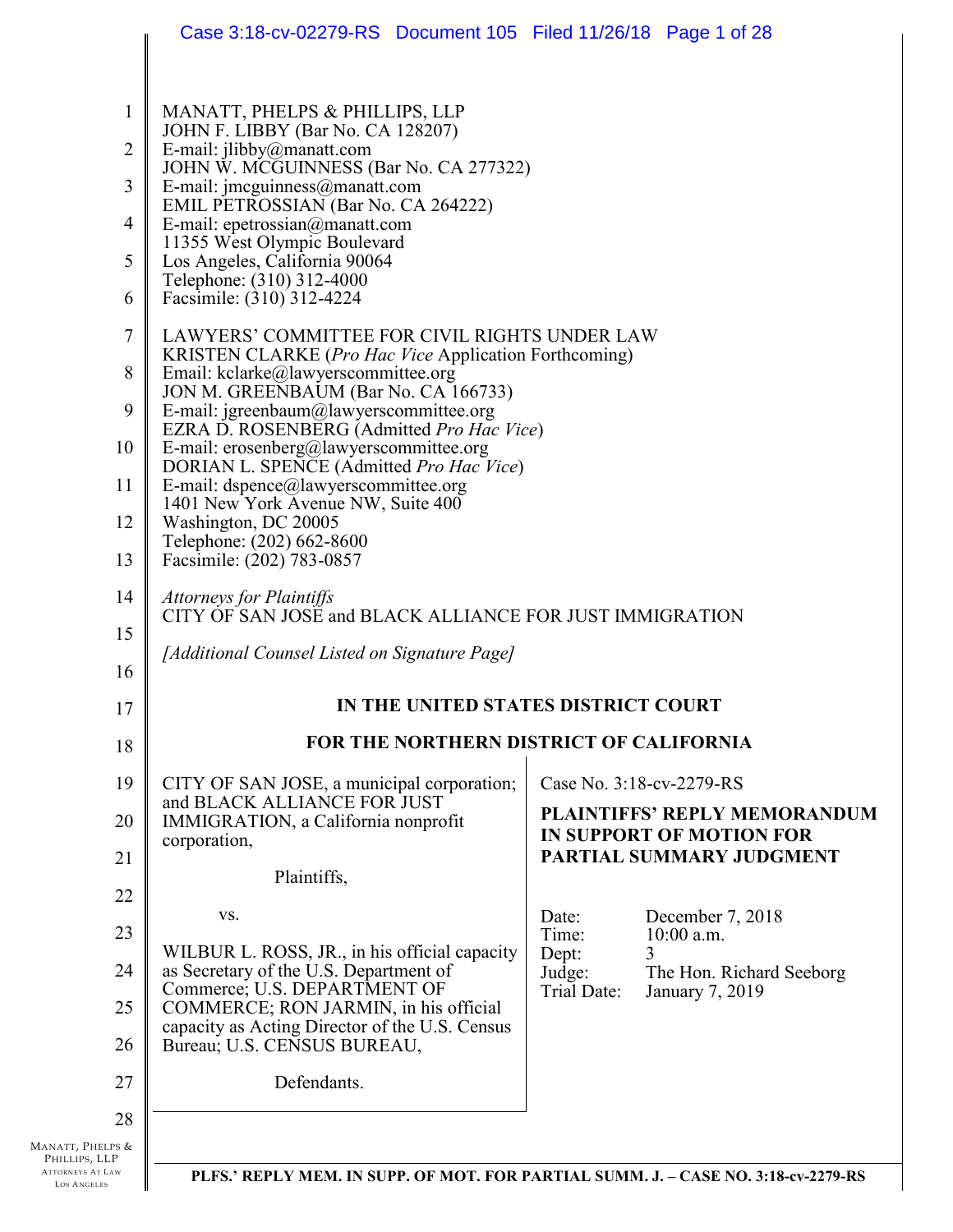|                                                              | Case 3:18-cv-02279-RS Document 105 Filed 11/26/18 Page 1 of 28                                       |                                                                      |
|--------------------------------------------------------------|------------------------------------------------------------------------------------------------------|----------------------------------------------------------------------|
|                                                              |                                                                                                      |                                                                      |
| $\mathbf{1}$                                                 | MANATT, PHELPS & PHILLIPS, LLP<br>JOHN F. LIBBY (Bar No. CA 128207)                                  |                                                                      |
| 2                                                            | E-mail: jlibby@manatt.com                                                                            |                                                                      |
| 3                                                            | JOHN W. MCGUINNESS (Bar No. CA 277322)<br>E-mail: jmcguinness@manatt.com                             |                                                                      |
| $\overline{4}$                                               | EMIL PETROSSIAN (Bar No. CA 264222)<br>E-mail: epetrossian@manatt.com                                |                                                                      |
| 5                                                            | 11355 West Olympic Boulevard<br>Los Angeles, California 90064                                        |                                                                      |
| 6                                                            | Telephone: (310) 312-4000<br>Facsimile: (310) 312-4224                                               |                                                                      |
| 7                                                            | LAWYERS' COMMITTEE FOR CIVIL RIGHTS UNDER LAW                                                        |                                                                      |
| 8                                                            | KRISTEN CLARKE ( <i>Pro Hac Vice</i> Application Forthcoming)<br>Email: kclarke@lawyerscommittee.org |                                                                      |
| 9                                                            | JON M. GREENBAUM (Bar No. CA 166733)<br>E-mail: jgreenbaum@lawyerscommittee.org                      |                                                                      |
| 10                                                           | EZRA D. ROSENBERG (Admitted Pro Hac Vice)<br>E-mail: erosenberg@lawyerscommittee.org                 |                                                                      |
| 11                                                           | DORIAN L. SPENCE (Admitted Pro Hac Vice)<br>E-mail: dspence@lawyerscommittee.org                     |                                                                      |
| 12                                                           | 1401 New York Avenue NW, Suite 400<br>Washington, DC 20005                                           |                                                                      |
| 13                                                           | Telephone: (202) 662-8600<br>Facsimile: (202) 783-0857                                               |                                                                      |
| 14                                                           | <b>Attorneys for Plaintiffs</b>                                                                      |                                                                      |
| 15                                                           | CITY OF SAN JOSE and BLACK ALLIANCE FOR JUST IMMIGRATION                                             |                                                                      |
| 16                                                           | [Additional Counsel Listed on Signature Page]                                                        |                                                                      |
| 17                                                           |                                                                                                      | IN THE UNITED STATES DISTRICT COURT                                  |
| 18                                                           |                                                                                                      | FOR THE NORTHERN DISTRICT OF CALIFORNIA                              |
| 19                                                           | CITY OF SAN JOSE, a municipal corporation;                                                           | Case No. 3:18-cv-2279-RS                                             |
| 20                                                           | and BLACK ALLIANCE FOR JUST<br>IMMIGRATION, a California nonprofit<br>corporation,                   | PLAINTIFFS' REPLY MEMORANDUM<br><b>IN SUPPORT OF MOTION FOR</b>      |
| 21                                                           | Plaintiffs,                                                                                          | PARTIAL SUMMARY JUDGMENT                                             |
| 22                                                           | VS.                                                                                                  | Date:<br>December 7, 2018                                            |
| 23                                                           | WILBUR L. ROSS, JR., in his official capacity                                                        | $10:00$ a.m.<br>Time:<br>Dept:                                       |
| 24                                                           | as Secretary of the U.S. Department of<br>Commerce; U.S. DEPARTMENT OF                               | Judge:<br>The Hon. Richard Seeborg<br>Trial Date:<br>January 7, 2019 |
| 25                                                           | COMMERCE; RON JARMIN, in his official<br>capacity as Acting Director of the U.S. Census              |                                                                      |
| 26                                                           | Bureau; U.S. CENSUS BUREAU,                                                                          |                                                                      |
| 27                                                           | Defendants.                                                                                          |                                                                      |
| 28                                                           |                                                                                                      |                                                                      |
| Manatt, Phelps &<br>PHILLIPS, LLP<br><b>ATTORNEYS AT LAW</b> | PLFS.' REPLY MEM. IN SUPP. OF MOT. FOR PARTIAL SUMM. J. - CASE NO. 3:18-cv-2279-RS                   |                                                                      |
| LOS ANGELES                                                  |                                                                                                      |                                                                      |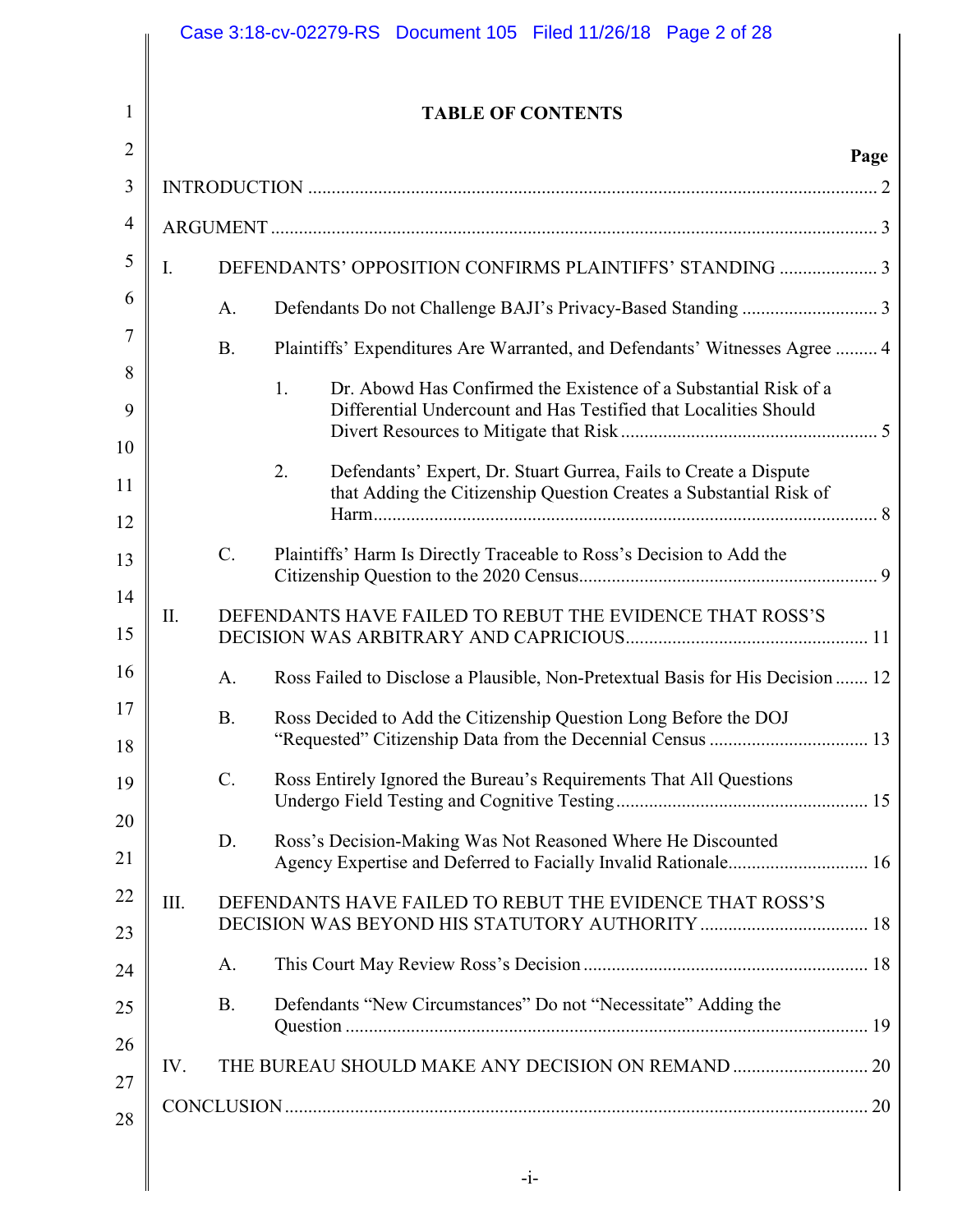|             |             | <b>TABLE OF CONTENTS</b>                                                                                                                     |      |
|-------------|-------------|----------------------------------------------------------------------------------------------------------------------------------------------|------|
|             |             |                                                                                                                                              | Page |
|             |             |                                                                                                                                              |      |
| $I_{\cdot}$ |             |                                                                                                                                              |      |
|             | A.          |                                                                                                                                              |      |
|             |             |                                                                                                                                              |      |
|             | <b>B.</b>   | Plaintiffs' Expenditures Are Warranted, and Defendants' Witnesses Agree  4                                                                   |      |
|             |             | 1.<br>Dr. Abowd Has Confirmed the Existence of a Substantial Risk of a<br>Differential Undercount and Has Testified that Localities Should   |      |
|             |             |                                                                                                                                              |      |
|             |             | Defendants' Expert, Dr. Stuart Gurrea, Fails to Create a Dispute<br>2.<br>that Adding the Citizenship Question Creates a Substantial Risk of |      |
|             |             |                                                                                                                                              |      |
|             | $C$ .       | Plaintiffs' Harm Is Directly Traceable to Ross's Decision to Add the                                                                         |      |
| П.          |             | DEFENDANTS HAVE FAILED TO REBUT THE EVIDENCE THAT ROSS'S                                                                                     |      |
|             | $A_{\cdot}$ | Ross Failed to Disclose a Plausible, Non-Pretextual Basis for His Decision  12                                                               |      |
|             | B.          | Ross Decided to Add the Citizenship Question Long Before the DOJ                                                                             |      |
|             | $C$ .       | Ross Entirely Ignored the Bureau's Requirements That All Questions                                                                           |      |
|             | D.          | Ross's Decision-Making Was Not Reasoned Where He Discounted                                                                                  |      |
| III.        |             | DEFENDANTS HAVE FAILED TO REBUT THE EVIDENCE THAT ROSS'S                                                                                     |      |
|             | A.          |                                                                                                                                              |      |
|             | <b>B.</b>   | Defendants "New Circumstances" Do not "Necessitate" Adding the                                                                               |      |
| IV.         |             |                                                                                                                                              |      |
|             |             |                                                                                                                                              |      |

 $\parallel$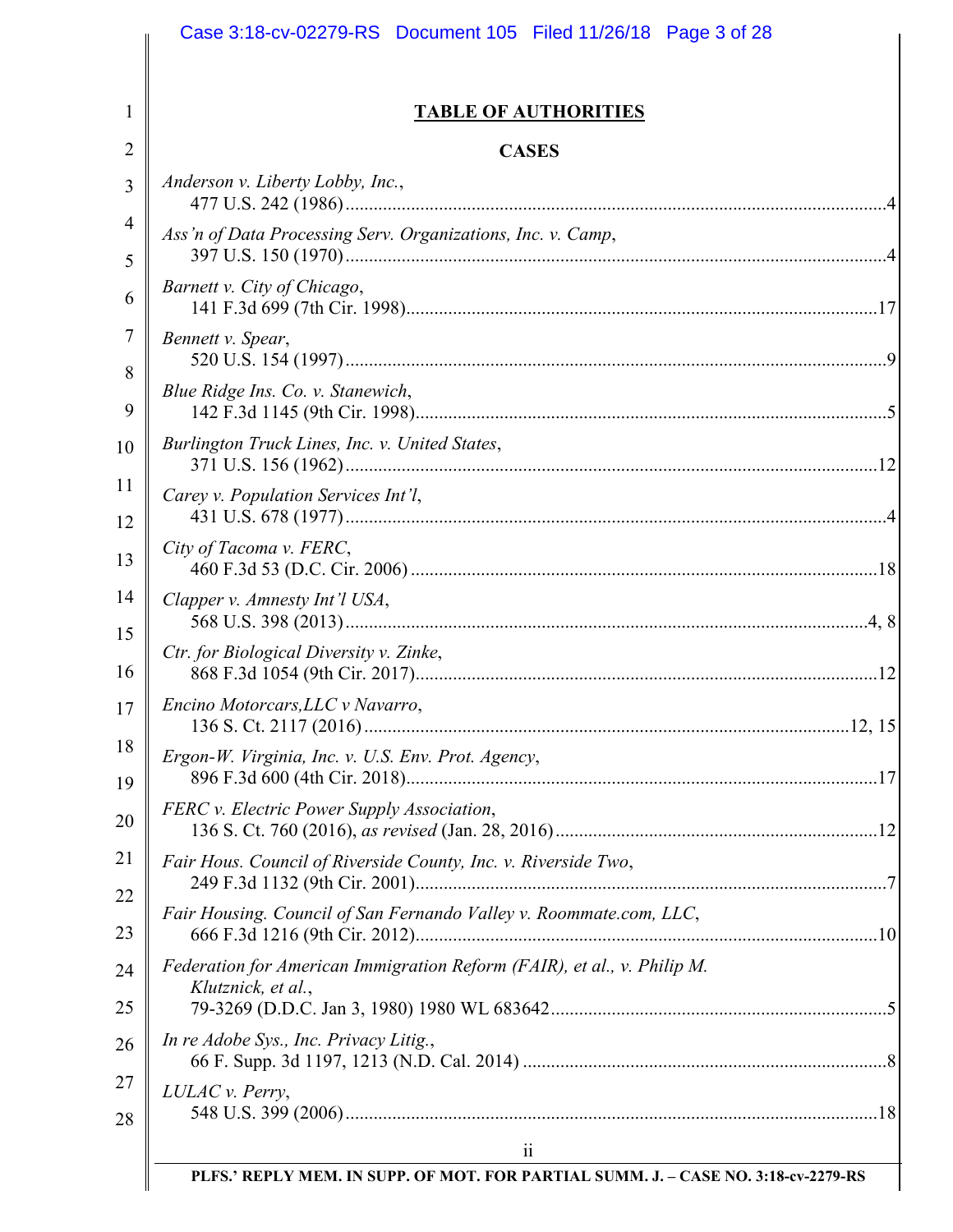|                     | Case 3:18-cv-02279-RS Document 105 Filed 11/26/18 Page 3 of 28                                |
|---------------------|-----------------------------------------------------------------------------------------------|
| 1                   | <b>TABLE OF AUTHORITIES</b>                                                                   |
| 2                   | <b>CASES</b>                                                                                  |
| 3                   | Anderson v. Liberty Lobby, Inc.,                                                              |
| $\overline{4}$<br>5 | Ass'n of Data Processing Serv. Organizations, Inc. v. Camp,                                   |
| 6                   | Barnett v. City of Chicago,                                                                   |
| 7                   | Bennett v. Spear,                                                                             |
| 8<br>9              | Blue Ridge Ins. Co. v. Stanewich,                                                             |
| 10                  | Burlington Truck Lines, Inc. v. United States,                                                |
| 11                  | Carey v. Population Services Int'l,                                                           |
| 12<br>13            | City of Tacoma v. FERC,                                                                       |
| 14                  | Clapper v. Amnesty Int'l USA,                                                                 |
| 15<br>16            | Ctr. for Biological Diversity v. Zinke,                                                       |
| 17                  | Encino Motorcars, LLC v Navarro,                                                              |
| 18                  | Ergon-W. Virginia, Inc. v. U.S. Env. Prot. Agency,                                            |
| 19<br>20            | FERC v. Electric Power Supply Association,                                                    |
|                     | Fair Hous. Council of Riverside County, Inc. v. Riverside Two,                                |
|                     | Fair Housing. Council of San Fernando Valley v. Roommate.com, LLC,                            |
| 24                  | Federation for American Immigration Reform (FAIR), et al., v. Philip M.<br>Klutznick, et al., |
| 25                  |                                                                                               |
| 26                  | In re Adobe Sys., Inc. Privacy Litig.,                                                        |
|                     | LULAC v. Perry,                                                                               |
|                     | $\ddot{\rm{11}}$                                                                              |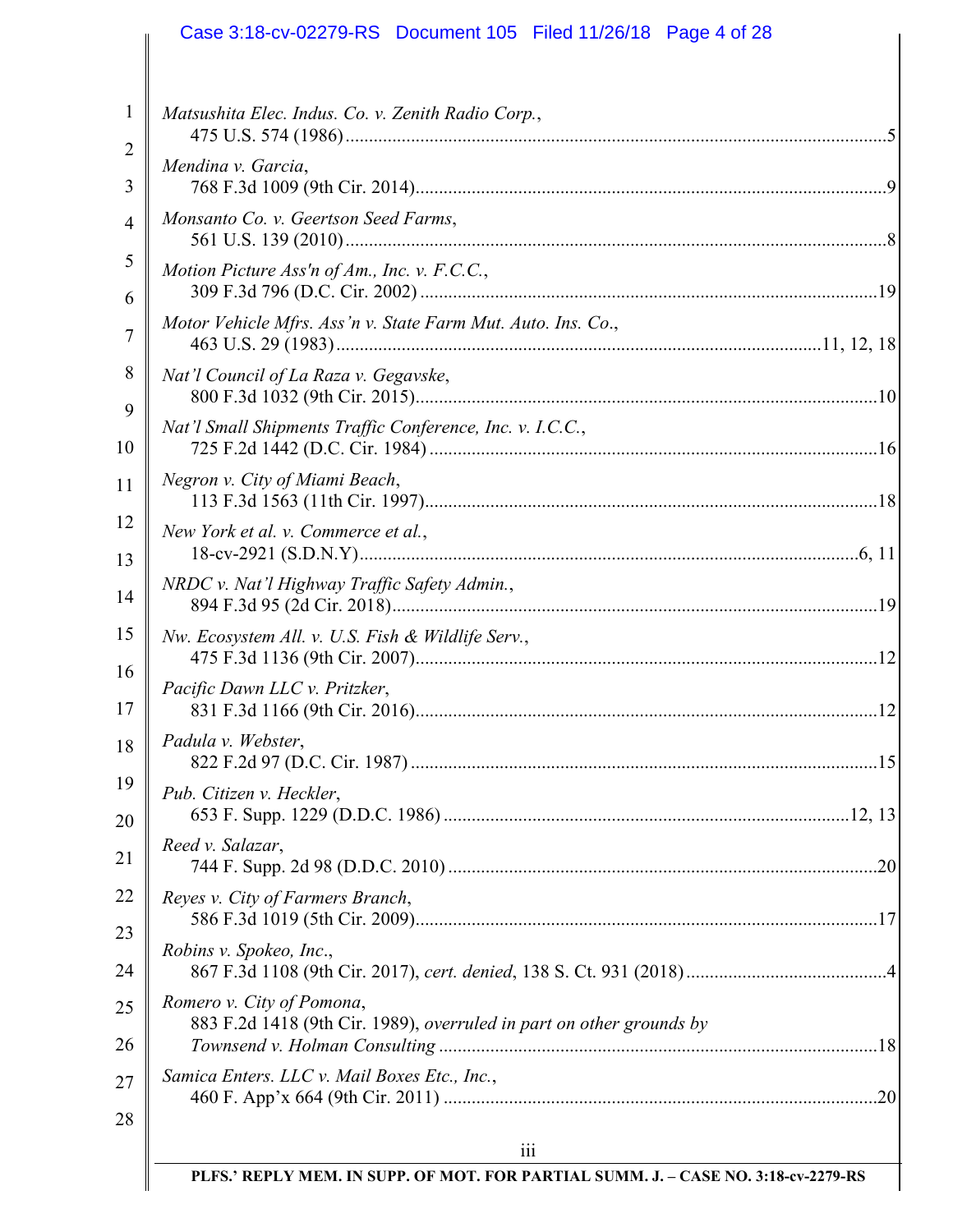#### 1 2 3 4 5 6 7 8 9 10 11 12 13 14 15 16 17 18 19 20 21 22 23 24 25 26 27 28 iii **PLFS.' REPLY MEM. IN SUPP. OF MOT. FOR PARTIAL SUMM. J. – CASE NO. 3:18-cv-2279-RS** *Matsushita Elec. Indus. Co. v. Zenith Radio Corp.*, 475 U.S. 574 (1986) ....................................................................................................................5 *Mendina v. Garcia*, 768 F.3d 1009 (9th Cir. 2014) .....................................................................................................9 *Monsanto Co. v. Geertson Seed Farms*, 561 U.S. 139 (2010) ....................................................................................................................8 *Motion Picture Ass'n of Am., Inc. v. F.C.C.*, 309 F.3d 796 (D.C. Cir. 2002) ..................................................................................................19 *Motor Vehicle Mfrs. Ass'n v. State Farm Mut. Auto. Ins. Co*., 463 U.S. 29 (1983) ........................................................................................................11, 12, 18 *Nat'l Council of La Raza v. Gegavske*, 800 F.3d 1032 (9th Cir. 2015) ...................................................................................................10 *Nat'l Small Shipments Traffic Conference, Inc. v. I.C.C.*, 725 F.2d 1442 (D.C. Cir. 1984) ................................................................................................16 *Negron v. City of Miami Beach*, 113 F.3d 1563 (11th Cir. 1997) .................................................................................................18 *New York et al. v. Commerce et al.*, 18-cv-2921 (S.D.N.Y) ...........................................................................................................6, 11 *NRDC v. Nat'l Highway Traffic Safety Admin.*, 894 F.3d 95 (2d Cir. 2018) ........................................................................................................19 *Nw. Ecosystem All. v. U.S. Fish & Wildlife Serv.*, 475 F.3d 1136 (9th Cir. 2007) ...................................................................................................12 *Pacific Dawn LLC v. Pritzker*, 831 F.3d 1166 (9th Cir. 2016) ...................................................................................................12 *Padula v. Webster*, 822 F.2d 97 (D.C. Cir. 1987) ....................................................................................................15 *Pub. Citizen v. Heckler*, 653 F. Supp. 1229 (D.D.C. 1986) .......................................................................................12, 13 *Reed v. Salazar*, 744 F. Supp. 2d 98 (D.D.C. 2010) ............................................................................................20 *Reyes v. City of Farmers Branch*, 586 F.3d 1019 (5th Cir. 2009) ...................................................................................................17 *Robins v. Spokeo, Inc*., 867 F.3d 1108 (9th Cir. 2017), *cert. denied*, 138 S. Ct. 931 (2018) ...........................................4 *Romero v. City of Pomona*, 883 F.2d 1418 (9th Cir. 1989), *overruled in part on other grounds by Townsend v. Holman Consulting* ..............................................................................................18 *Samica Enters. LLC v. Mail Boxes Etc., Inc.*, 460 F. App'x 664 (9th Cir. 2011) .............................................................................................20 Case 3:18-cv-02279-RS Document 105 Filed 11/26/18 Page 4 of 28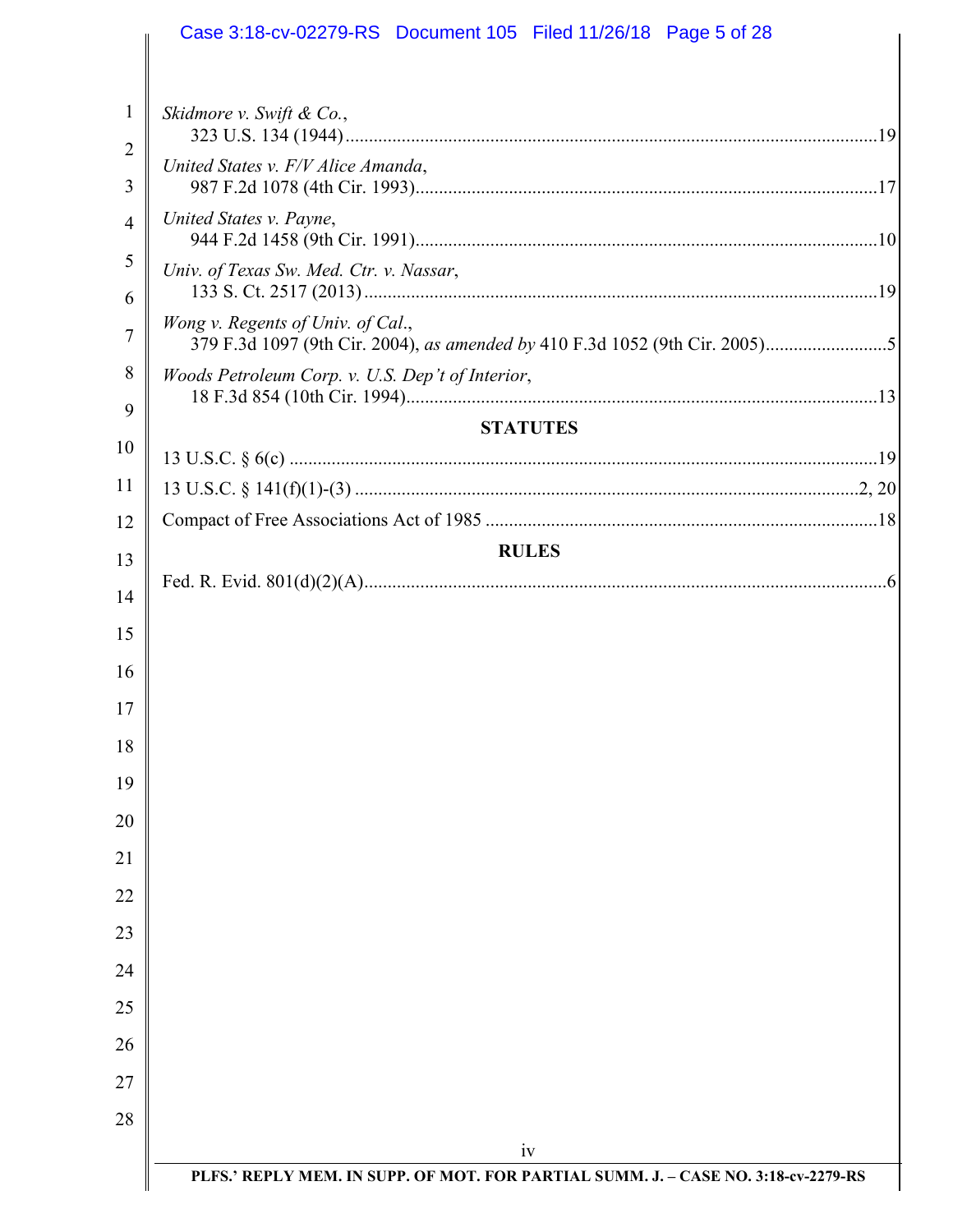|                     | Case 3:18-cv-02279-RS Document 105 Filed 11/26/18 Page 5 of 28                     |  |
|---------------------|------------------------------------------------------------------------------------|--|
| 1                   | Skidmore v. Swift & Co.,                                                           |  |
| $\overline{2}$<br>3 | United States v. F/V Alice Amanda,                                                 |  |
| $\overline{4}$      | United States v. Payne,                                                            |  |
| 5<br>6              | Univ. of Texas Sw. Med. Ctr. v. Nassar,                                            |  |
| 7                   | Wong v. Regents of Univ. of Cal.,                                                  |  |
| 8<br>9              | Woods Petroleum Corp. v. U.S. Dep't of Interior,                                   |  |
|                     | <b>STATUTES</b>                                                                    |  |
| 10                  |                                                                                    |  |
| 11                  |                                                                                    |  |
| 12                  |                                                                                    |  |
| 13                  | <b>RULES</b>                                                                       |  |
| 14                  |                                                                                    |  |
|                     |                                                                                    |  |
| 15<br>16            |                                                                                    |  |
| 17                  |                                                                                    |  |
| 18                  |                                                                                    |  |
| 19                  |                                                                                    |  |
| 20<br>21            |                                                                                    |  |
| 22                  |                                                                                    |  |
| 23                  |                                                                                    |  |
| 24                  |                                                                                    |  |
| 25                  |                                                                                    |  |
| 26                  |                                                                                    |  |
| 27                  |                                                                                    |  |
| 28                  |                                                                                    |  |
|                     | iv                                                                                 |  |
|                     | PLFS.' REPLY MEM. IN SUPP. OF MOT. FOR PARTIAL SUMM. J. - CASE NO. 3:18-cv-2279-RS |  |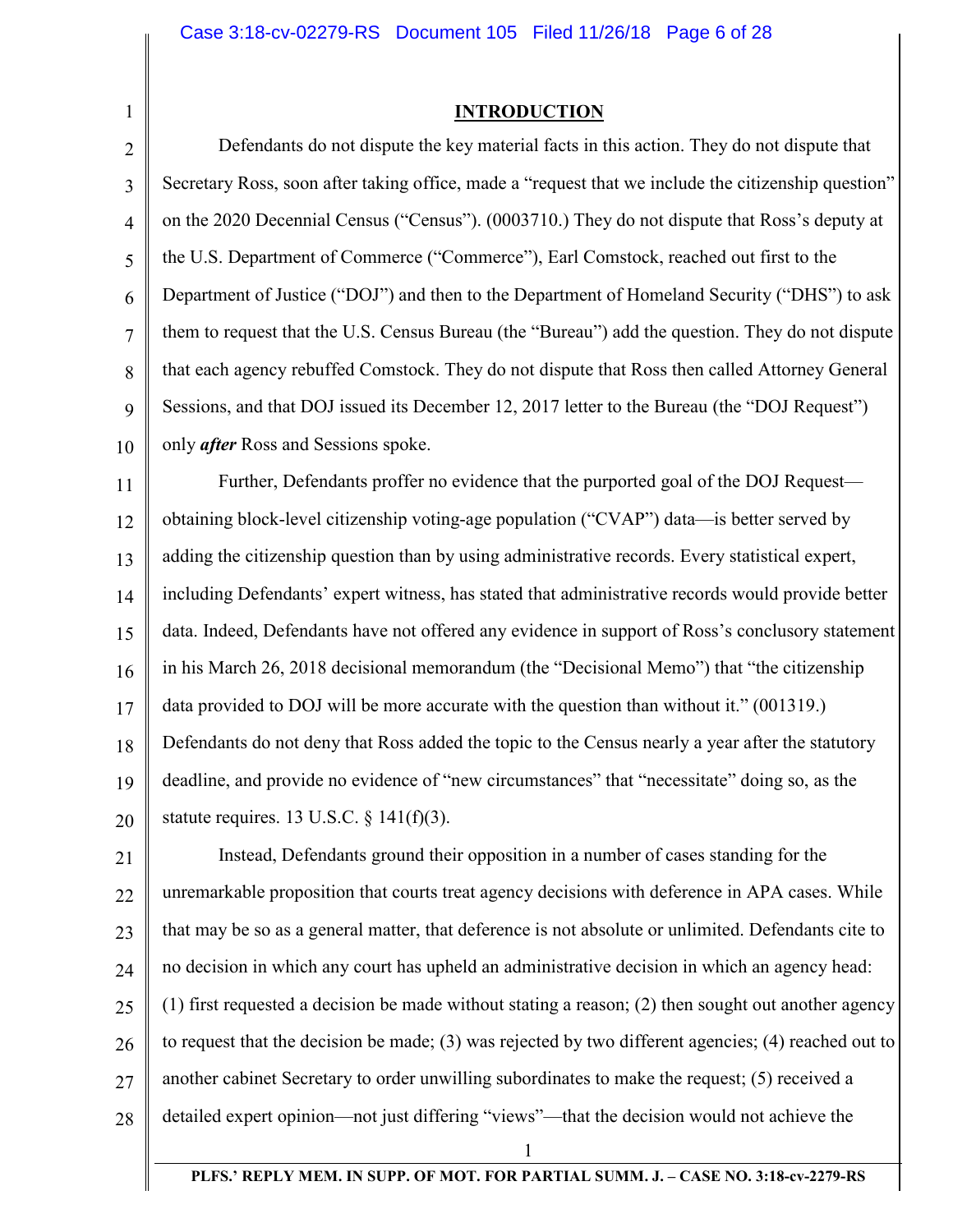1

**INTRODUCTION** 

2 3 4 5 6 7 8 9 10 Defendants do not dispute the key material facts in this action. They do not dispute that Secretary Ross, soon after taking office, made a "request that we include the citizenship question" on the 2020 Decennial Census ("Census"). (0003710.) They do not dispute that Ross's deputy at the U.S. Department of Commerce ("Commerce"), Earl Comstock, reached out first to the Department of Justice ("DOJ") and then to the Department of Homeland Security ("DHS") to ask them to request that the U.S. Census Bureau (the "Bureau") add the question. They do not dispute that each agency rebuffed Comstock. They do not dispute that Ross then called Attorney General Sessions, and that DOJ issued its December 12, 2017 letter to the Bureau (the "DOJ Request") only *after* Ross and Sessions spoke.

11 12 13 14 15 16 17 18 19 20 Further, Defendants proffer no evidence that the purported goal of the DOJ Request obtaining block-level citizenship voting-age population ("CVAP") data—is better served by adding the citizenship question than by using administrative records. Every statistical expert, including Defendants' expert witness, has stated that administrative records would provide better data. Indeed, Defendants have not offered any evidence in support of Ross's conclusory statement in his March 26, 2018 decisional memorandum (the "Decisional Memo") that "the citizenship data provided to DOJ will be more accurate with the question than without it." (001319.) Defendants do not deny that Ross added the topic to the Census nearly a year after the statutory deadline, and provide no evidence of "new circumstances" that "necessitate" doing so, as the statute requires. 13 U.S.C.  $\S$  141(f)(3).

21 22 23 24 25 26 27 28 Instead, Defendants ground their opposition in a number of cases standing for the unremarkable proposition that courts treat agency decisions with deference in APA cases. While that may be so as a general matter, that deference is not absolute or unlimited. Defendants cite to no decision in which any court has upheld an administrative decision in which an agency head: (1) first requested a decision be made without stating a reason; (2) then sought out another agency to request that the decision be made; (3) was rejected by two different agencies; (4) reached out to another cabinet Secretary to order unwilling subordinates to make the request; (5) received a detailed expert opinion—not just differing "views"—that the decision would not achieve the

**PLFS.' REPLY MEM. IN SUPP. OF MOT. FOR PARTIAL SUMM. J. – CASE NO. 3:18-cv-2279-RS**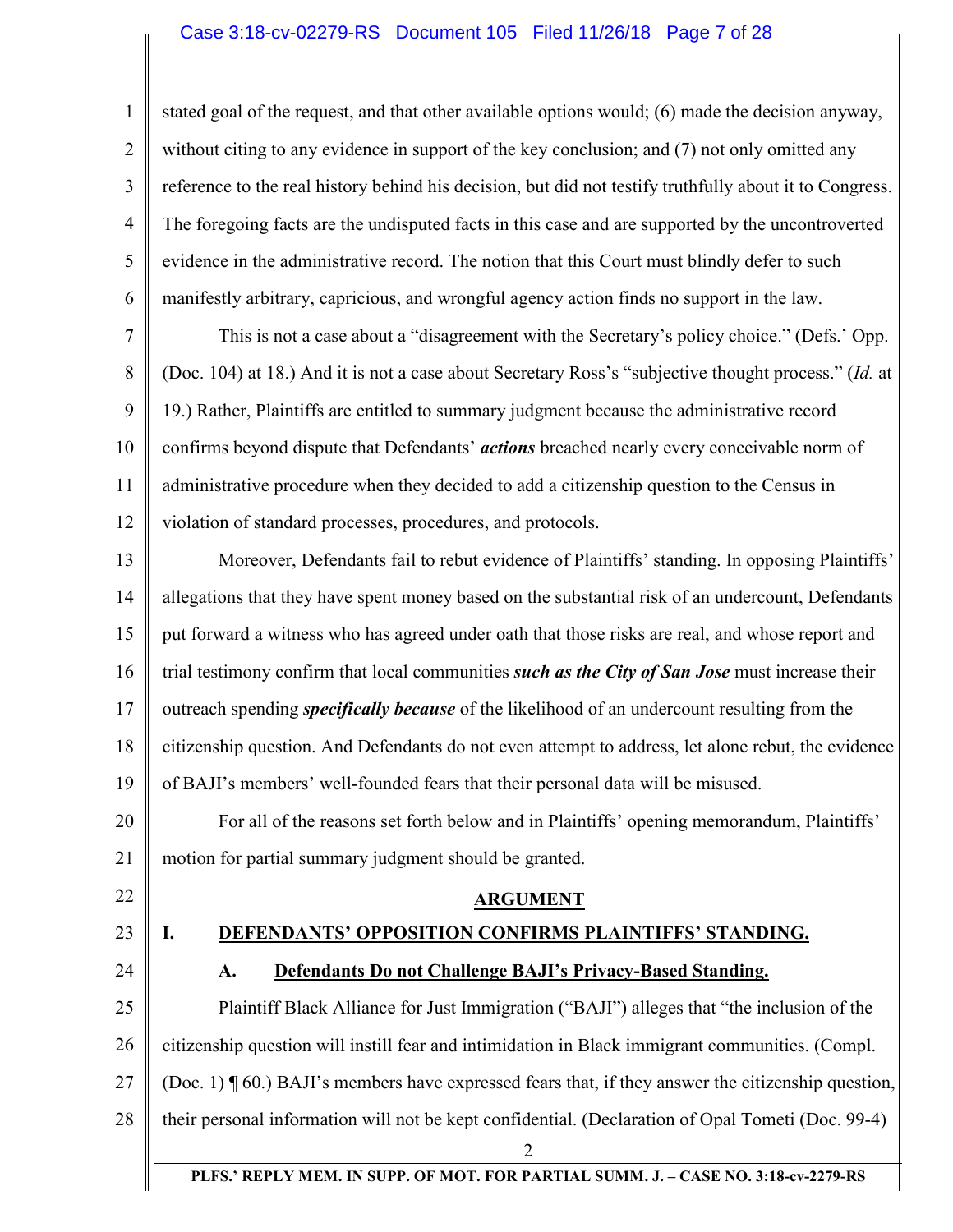### Case 3:18-cv-02279-RS Document 105 Filed 11/26/18 Page 7 of 28

1 2 3 4 5 6 stated goal of the request, and that other available options would; (6) made the decision anyway, without citing to any evidence in support of the key conclusion; and (7) not only omitted any reference to the real history behind his decision, but did not testify truthfully about it to Congress. The foregoing facts are the undisputed facts in this case and are supported by the uncontroverted evidence in the administrative record. The notion that this Court must blindly defer to such manifestly arbitrary, capricious, and wrongful agency action finds no support in the law.

7 8 9 10 11 12 This is not a case about a "disagreement with the Secretary's policy choice." (Defs.' Opp. (Doc. 104) at 18.) And it is not a case about Secretary Ross's "subjective thought process." (*Id.* at 19.) Rather, Plaintiffs are entitled to summary judgment because the administrative record confirms beyond dispute that Defendants' *actions* breached nearly every conceivable norm of administrative procedure when they decided to add a citizenship question to the Census in violation of standard processes, procedures, and protocols.

13 14 15 16 17 18 19 20 Moreover, Defendants fail to rebut evidence of Plaintiffs' standing. In opposing Plaintiffs' allegations that they have spent money based on the substantial risk of an undercount, Defendants put forward a witness who has agreed under oath that those risks are real, and whose report and trial testimony confirm that local communities *such as the City of San Jose* must increase their outreach spending *specifically because* of the likelihood of an undercount resulting from the citizenship question. And Defendants do not even attempt to address, let alone rebut, the evidence of BAJI's members' well-founded fears that their personal data will be misused. For all of the reasons set forth below and in Plaintiffs' opening memorandum, Plaintiffs'

21 motion for partial summary judgment should be granted.

- 22
- 23

# **I. DEFENDANTS' OPPOSITION CONFIRMS PLAINTIFFS' STANDING.**

**ARGUMENT** 

24 25 26 27 28 2 **A. Defendants Do not Challenge BAJI's Privacy-Based Standing.**  Plaintiff Black Alliance for Just Immigration ("BAJI") alleges that "the inclusion of the citizenship question will instill fear and intimidation in Black immigrant communities. (Compl. (Doc. 1) ¶ 60.) BAJI's members have expressed fears that, if they answer the citizenship question, their personal information will not be kept confidential. (Declaration of Opal Tometi (Doc. 99-4)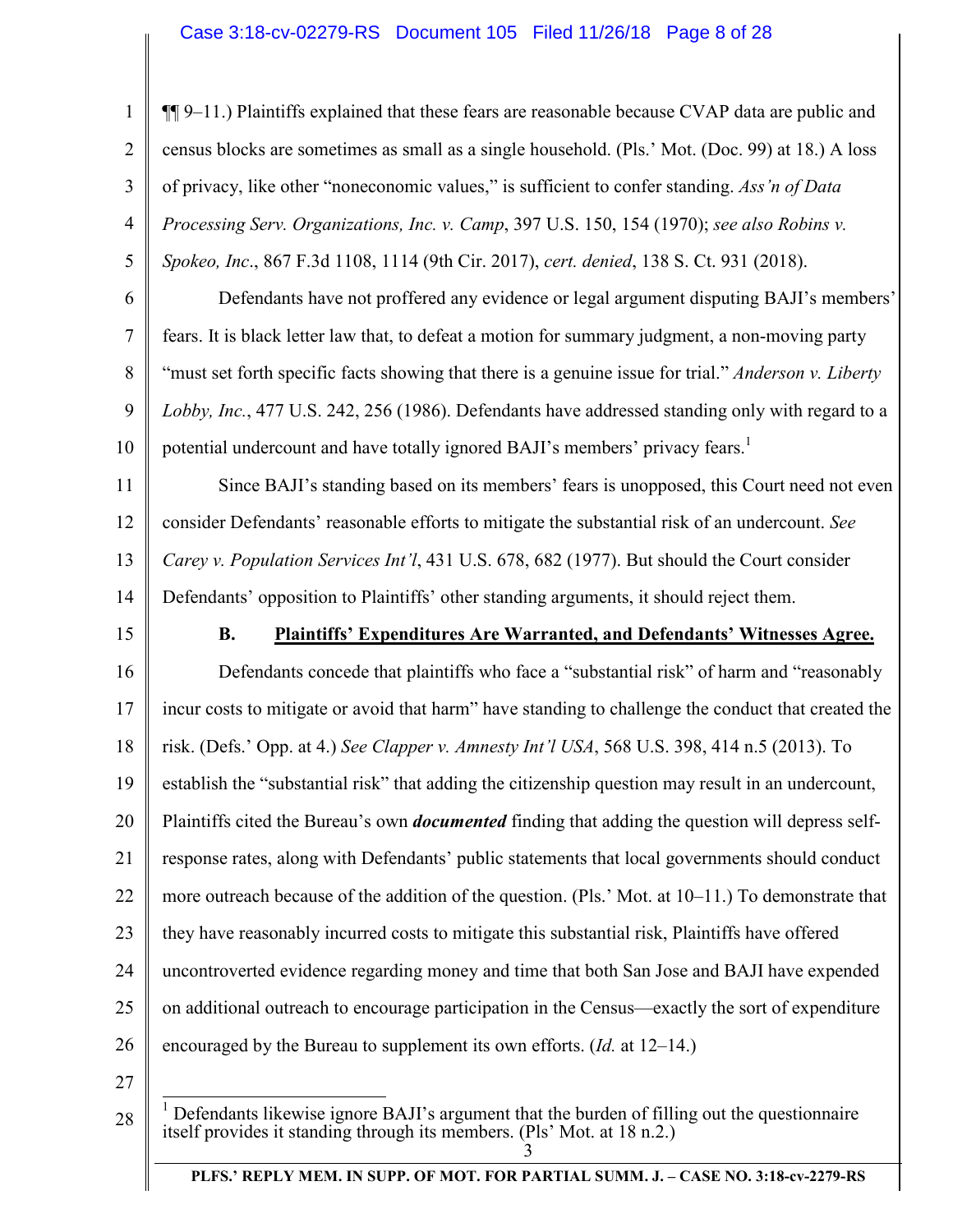### Case 3:18-cv-02279-RS Document 105 Filed 11/26/18 Page 8 of 28

1

2

3

4

5

¶¶ 9–11.) Plaintiffs explained that these fears are reasonable because CVAP data are public and census blocks are sometimes as small as a single household. (Pls.' Mot. (Doc. 99) at 18.) A loss of privacy, like other "noneconomic values," is sufficient to confer standing. *Ass'n of Data Processing Serv. Organizations, Inc. v. Camp*, 397 U.S. 150, 154 (1970); *see also Robins v. Spokeo, Inc*., 867 F.3d 1108, 1114 (9th Cir. 2017), *cert. denied*, 138 S. Ct. 931 (2018).

6 7 8 9 10 Defendants have not proffered any evidence or legal argument disputing BAJI's members' fears. It is black letter law that, to defeat a motion for summary judgment, a non-moving party "must set forth specific facts showing that there is a genuine issue for trial." *Anderson v. Liberty Lobby, Inc.*, 477 U.S. 242, 256 (1986). Defendants have addressed standing only with regard to a potential undercount and have totally ignored BAJI's members' privacy fears.<sup>1</sup>

11 12 13 14 Since BAJI's standing based on its members' fears is unopposed, this Court need not even consider Defendants' reasonable efforts to mitigate the substantial risk of an undercount. *See Carey v. Population Services Int'l*, 431 U.S. 678, 682 (1977). But should the Court consider Defendants' opposition to Plaintiffs' other standing arguments, it should reject them.

15

### **B. Plaintiffs' Expenditures Are Warranted, and Defendants' Witnesses Agree.**

16 17 18 19 20 21 22 23 24 25 26 Defendants concede that plaintiffs who face a "substantial risk" of harm and "reasonably incur costs to mitigate or avoid that harm" have standing to challenge the conduct that created the risk. (Defs.' Opp. at 4.) *See Clapper v. Amnesty Int'l USA*, 568 U.S. 398, 414 n.5 (2013). To establish the "substantial risk" that adding the citizenship question may result in an undercount, Plaintiffs cited the Bureau's own *documented* finding that adding the question will depress selfresponse rates, along with Defendants' public statements that local governments should conduct more outreach because of the addition of the question. (Pls.' Mot. at 10–11.) To demonstrate that they have reasonably incurred costs to mitigate this substantial risk, Plaintiffs have offered uncontroverted evidence regarding money and time that both San Jose and BAJI have expended on additional outreach to encourage participation in the Census—exactly the sort of expenditure encouraged by the Bureau to supplement its own efforts. (*Id.* at 12–14.)

27

<sup>3</sup> <sup>1</sup> Defendants likewise ignore BAJI's argument that the burden of filling out the questionnaire itself provides it standing through its members. (Pls' Mot. at 18 n.2.)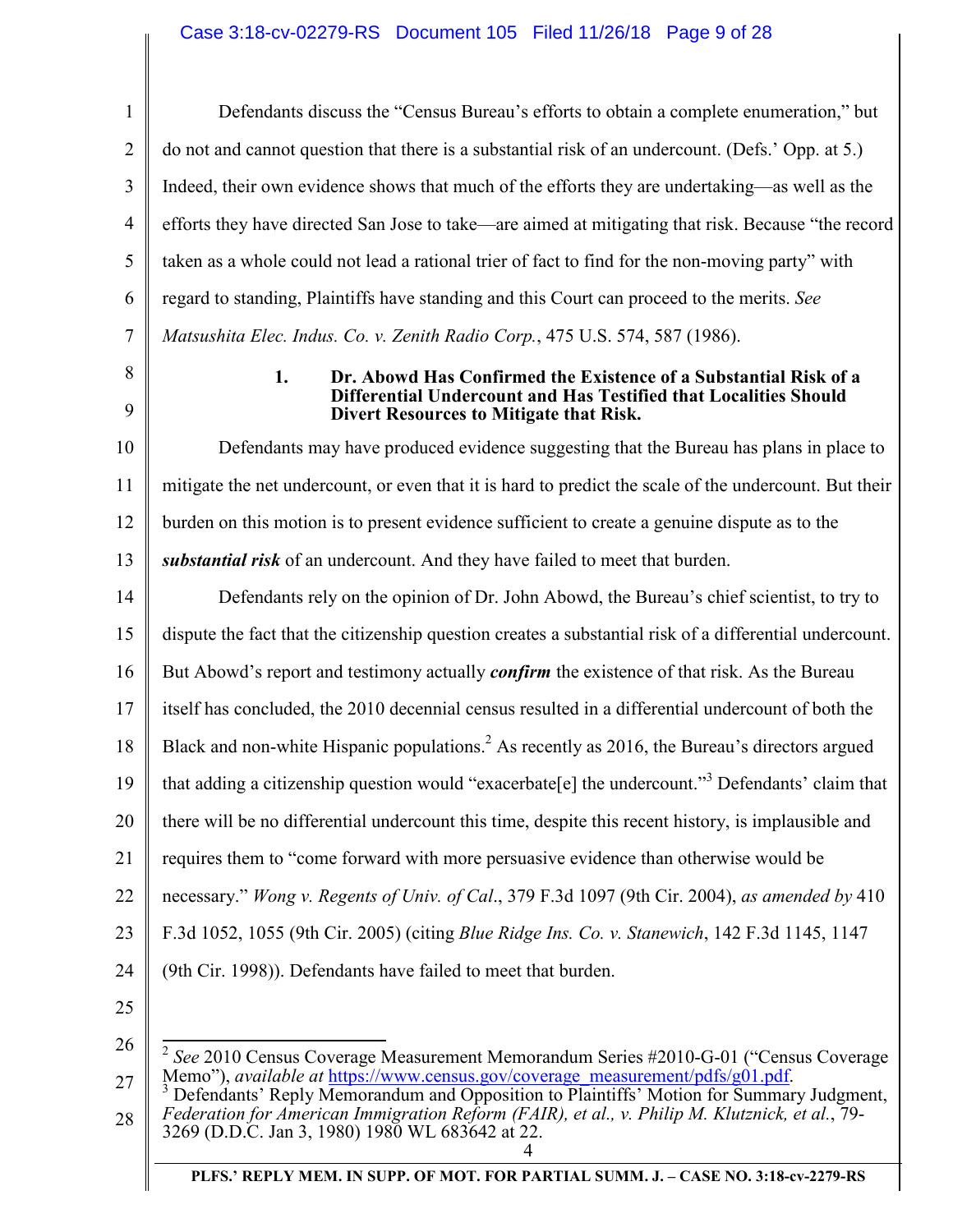## Case 3:18-cv-02279-RS Document 105 Filed 11/26/18 Page 9 of 28

| $\mathbf{1}$   | Defendants discuss the "Census Bureau's efforts to obtain a complete enumeration," but                                                                                                                                                                               |
|----------------|----------------------------------------------------------------------------------------------------------------------------------------------------------------------------------------------------------------------------------------------------------------------|
| $\overline{2}$ | do not and cannot question that there is a substantial risk of an undercount. (Defs.' Opp. at 5.)                                                                                                                                                                    |
| 3              | Indeed, their own evidence shows that much of the efforts they are undertaking—as well as the                                                                                                                                                                        |
| $\overline{4}$ | efforts they have directed San Jose to take—are aimed at mitigating that risk. Because "the record                                                                                                                                                                   |
| 5              | taken as a whole could not lead a rational trier of fact to find for the non-moving party" with                                                                                                                                                                      |
| 6              | regard to standing, Plaintiffs have standing and this Court can proceed to the merits. See                                                                                                                                                                           |
| 7              | Matsushita Elec. Indus. Co. v. Zenith Radio Corp., 475 U.S. 574, 587 (1986).                                                                                                                                                                                         |
| 8              | 1.<br>Dr. Abowd Has Confirmed the Existence of a Substantial Risk of a                                                                                                                                                                                               |
| 9              | Differential Undercount and Has Testified that Localities Should<br><b>Divert Resources to Mitigate that Risk.</b>                                                                                                                                                   |
| 10             | Defendants may have produced evidence suggesting that the Bureau has plans in place to                                                                                                                                                                               |
| 11             | mitigate the net undercount, or even that it is hard to predict the scale of the undercount. But their                                                                                                                                                               |
| 12             | burden on this motion is to present evidence sufficient to create a genuine dispute as to the                                                                                                                                                                        |
| 13             | substantial risk of an undercount. And they have failed to meet that burden.                                                                                                                                                                                         |
| 14             | Defendants rely on the opinion of Dr. John Abowd, the Bureau's chief scientist, to try to                                                                                                                                                                            |
| 15             | dispute the fact that the citizenship question creates a substantial risk of a differential undercount.                                                                                                                                                              |
| 16             | But Abowd's report and testimony actually <i>confirm</i> the existence of that risk. As the Bureau                                                                                                                                                                   |
| 17             | itself has concluded, the 2010 decennial census resulted in a differential undercount of both the                                                                                                                                                                    |
| 18             | Black and non-white Hispanic populations. <sup>2</sup> As recently as 2016, the Bureau's directors argued                                                                                                                                                            |
| 19             | that adding a citizenship question would "exacerbate[e] the undercount." <sup>3</sup> Defendants' claim that                                                                                                                                                         |
| 20             | there will be no differential undercount this time, despite this recent history, is implausible and                                                                                                                                                                  |
| 21             | requires them to "come forward with more persuasive evidence than otherwise would be                                                                                                                                                                                 |
| 22             | necessary." Wong v. Regents of Univ. of Cal., 379 F.3d 1097 (9th Cir. 2004), as amended by 410                                                                                                                                                                       |
| 23             | F.3d 1052, 1055 (9th Cir. 2005) (citing <i>Blue Ridge Ins. Co. v. Stanewich</i> , 142 F.3d 1145, 1147                                                                                                                                                                |
| 24             | (9th Cir. 1998)). Defendants have failed to meet that burden.                                                                                                                                                                                                        |
| 25             |                                                                                                                                                                                                                                                                      |
| 26<br>27       | $2$ See 2010 Census Coverage Measurement Memorandum Series #2010-G-01 ("Census Coverage<br>Memo"), available at https://www.census.gov/coverage_measurement/pdfs/g01.pdf.<br>Defendants' Reply Memorandum and Opposition to Plaintiffs' Motion for Summary Judgment, |

28 *Federation for American Immigration Reform (FAIR), et al., v. Philip M. Klutznick, et al.*, 79- 3269 (D.D.C. Jan 3, 1980) 1980 WL 683642 at 22.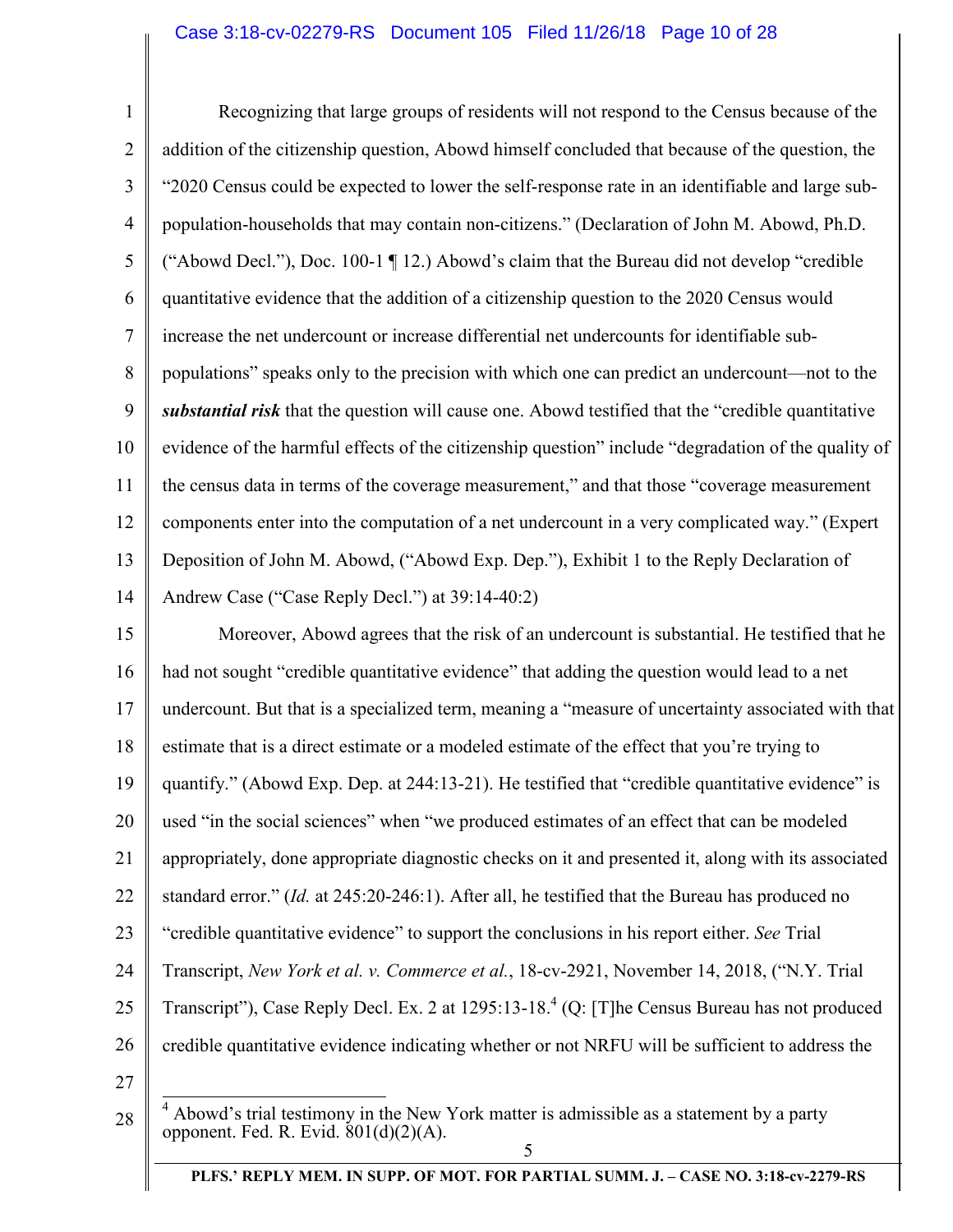# Case 3:18-cv-02279-RS Document 105 Filed 11/26/18 Page 10 of 28

| $\mathbf{1}$            | Recognizing that large groups of residents will not respond to the Census because of the                  |
|-------------------------|-----------------------------------------------------------------------------------------------------------|
| $\overline{2}$          | addition of the citizenship question, Abowd himself concluded that because of the question, the           |
| $\overline{\mathbf{3}}$ | "2020 Census could be expected to lower the self-response rate in an identifiable and large sub-          |
| $\overline{4}$          | population-households that may contain non-citizens." (Declaration of John M. Abowd, Ph.D.                |
| $\mathfrak s$           | ("Abowd Decl."), Doc. 100-1 ¶ 12.) Abowd's claim that the Bureau did not develop "credible                |
| 6                       | quantitative evidence that the addition of a citizenship question to the 2020 Census would                |
| $\overline{7}$          | increase the net undercount or increase differential net undercounts for identifiable sub-                |
| 8                       | populations" speaks only to the precision with which one can predict an undercount—not to the             |
| 9                       | substantial risk that the question will cause one. Abowd testified that the "credible quantitative"       |
| 10                      | evidence of the harmful effects of the citizenship question" include "degradation of the quality of       |
| 11                      | the census data in terms of the coverage measurement," and that those "coverage measurement"              |
| 12                      | components enter into the computation of a net undercount in a very complicated way." (Expert             |
| 13                      | Deposition of John M. Abowd, ("Abowd Exp. Dep."), Exhibit 1 to the Reply Declaration of                   |
| 14                      | Andrew Case ("Case Reply Decl.") at 39:14-40:2)                                                           |
| 15                      | Moreover, Abowd agrees that the risk of an undercount is substantial. He testified that he                |
| 16                      | had not sought "credible quantitative evidence" that adding the question would lead to a net              |
| 17                      | undercount. But that is a specialized term, meaning a "measure of uncertainty associated with that        |
| 18                      | estimate that is a direct estimate or a modeled estimate of the effect that you're trying to              |
| 19                      | quantify." (Abowd Exp. Dep. at 244:13-21). He testified that "credible quantitative evidence" is          |
| 20                      | used "in the social sciences" when "we produced estimates of an effect that can be modeled                |
| 21                      | appropriately, done appropriate diagnostic checks on it and presented it, along with its associated       |
| 22                      | standard error." (Id. at 245:20-246:1). After all, he testified that the Bureau has produced no           |
| 23                      | "credible quantitative evidence" to support the conclusions in his report either. See Trial               |
| 24                      | Transcript, New York et al. v. Commerce et al., 18-cv-2921, November 14, 2018, ("N.Y. Trial               |
| 25                      | Transcript"), Case Reply Decl. Ex. 2 at 1295:13-18. <sup>4</sup> (Q: [T]he Census Bureau has not produced |
| 26                      | credible quantitative evidence indicating whether or not NRFU will be sufficient to address the           |
| 27                      |                                                                                                           |
| 28                      | Abowd's trial testimony in the New York matter is admissible as a statement by a party                    |

**PLFS.' REPLY MEM. IN SUPP. OF MOT. FOR PARTIAL SUMM. J. – CASE NO. 3:18-cv-2279-RS**

opponent. Fed. R. Evid. 801(d)(2)(A).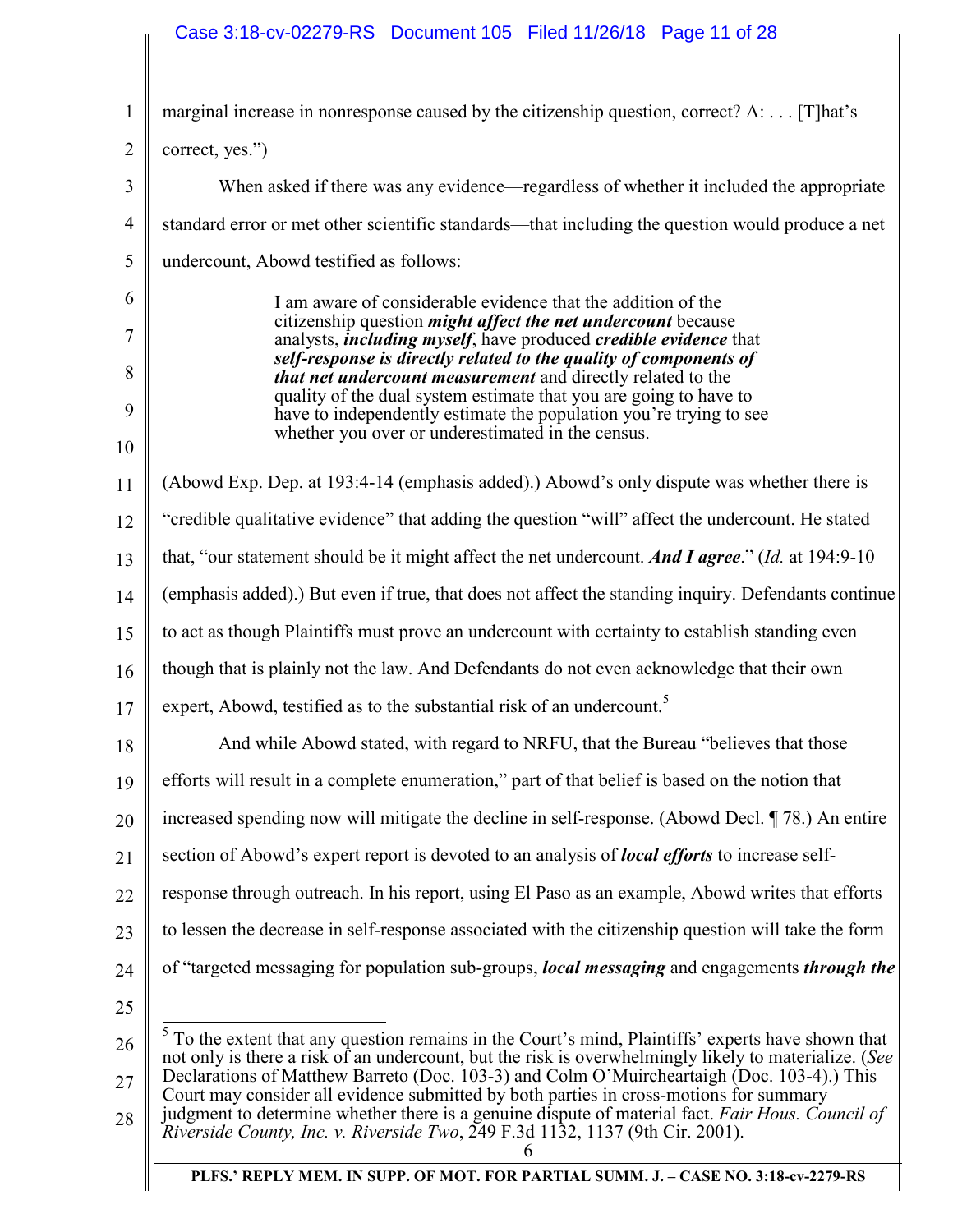# Case 3:18-cv-02279-RS Document 105 Filed 11/26/18 Page 11 of 28

| $\mathbf{1}$   | marginal increase in nonresponse caused by the citizenship question, correct? A:  [T]hat's                                                                                                                    |
|----------------|---------------------------------------------------------------------------------------------------------------------------------------------------------------------------------------------------------------|
| $\overline{2}$ | correct, yes.")                                                                                                                                                                                               |
| 3              | When asked if there was any evidence—regardless of whether it included the appropriate                                                                                                                        |
| $\overline{4}$ | standard error or met other scientific standards—that including the question would produce a net                                                                                                              |
| 5              | undercount, Abowd testified as follows:                                                                                                                                                                       |
| 6              | I am aware of considerable evidence that the addition of the                                                                                                                                                  |
| 7              | citizenship question <i>might affect the net undercount</i> because<br>analysts, <i>including myself</i> , have produced <i>credible evidence</i> that                                                        |
| 8              | self-response is directly related to the quality of components of<br>that net undercount measurement and directly related to the                                                                              |
| 9              | quality of the dual system estimate that you are going to have to<br>have to independently estimate the population you're trying to see                                                                       |
| 10             | whether you over or underestimated in the census.                                                                                                                                                             |
| 11             | (Abowd Exp. Dep. at 193:4-14 (emphasis added).) Abowd's only dispute was whether there is                                                                                                                     |
| 12             | "credible qualitative evidence" that adding the question "will" affect the undercount. He stated                                                                                                              |
| 13             | that, "our statement should be it might affect the net undercount. And I agree." (Id. at 194:9-10)                                                                                                            |
| 14             | (emphasis added).) But even if true, that does not affect the standing inquiry. Defendants continue                                                                                                           |
| 15             | to act as though Plaintiffs must prove an undercount with certainty to establish standing even                                                                                                                |
| 16             | though that is plainly not the law. And Defendants do not even acknowledge that their own                                                                                                                     |
| 17             | expert, Abowd, testified as to the substantial risk of an undercount. <sup>5</sup>                                                                                                                            |
| 18             | And while Abowd stated, with regard to NRFU, that the Bureau "believes that those                                                                                                                             |
| 19             | efforts will result in a complete enumeration," part of that belief is based on the notion that                                                                                                               |
| 20             | increased spending now will mitigate the decline in self-response. (Abowd Decl. ¶ 78.) An entire                                                                                                              |
| 21             | section of Abowd's expert report is devoted to an analysis of <b><i>local efforts</i></b> to increase self-                                                                                                   |
| 22             | response through outreach. In his report, using El Paso as an example, Abowd writes that efforts                                                                                                              |
| 23             | to lessen the decrease in self-response associated with the citizenship question will take the form                                                                                                           |
| 24             | of "targeted messaging for population sub-groups, <i>local messaging</i> and engagements <i>through the</i>                                                                                                   |
| 25             |                                                                                                                                                                                                               |
| 26             | $5$ To the extent that any question remains in the Court's mind, Plaintiffs' experts have shown that<br>not only is there a risk of an undercount, but the risk is overwhelmingly likely to materialize. (See |
| 27             | Declarations of Matthew Barreto (Doc. 103-3) and Colm O'Muircheartaigh (Doc. 103-4).) This<br>Court may consider all evidence submitted by both parties in cross-motions for summary                          |
| 28             | judgment to determine whether there is a genuine dispute of material fact. Fair Hous. Council of<br>Riverside County, Inc. v. Riverside Two, $249$ F.3d 1132, 1137 (9th Cir. 2001).                           |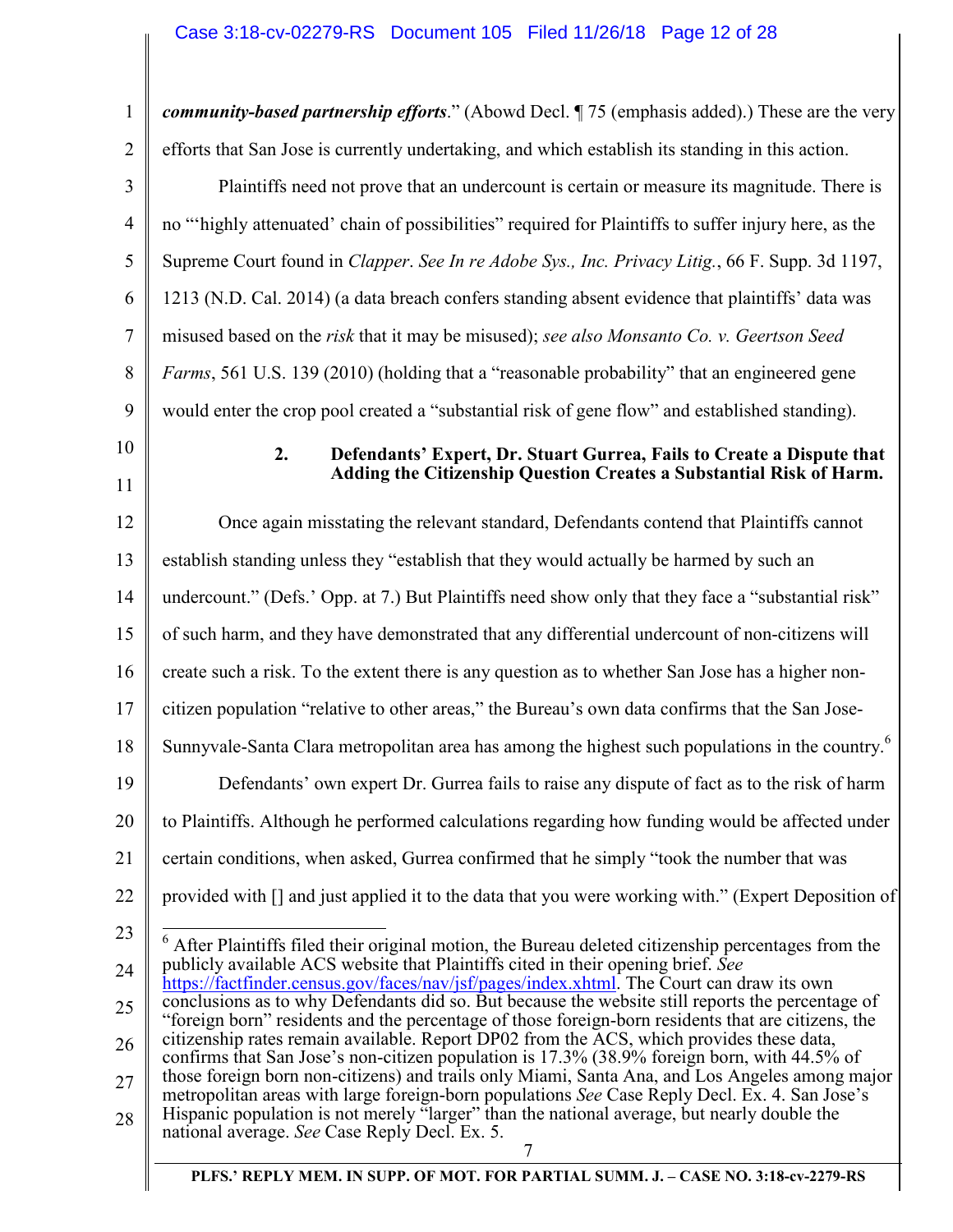| 1              | community-based partnership efforts." (Abowd Decl. ¶ 75 (emphasis added).) These are the very                                                                                                          |
|----------------|--------------------------------------------------------------------------------------------------------------------------------------------------------------------------------------------------------|
| $\overline{2}$ | efforts that San Jose is currently undertaking, and which establish its standing in this action.                                                                                                       |
| 3              | Plaintiffs need not prove that an undercount is certain or measure its magnitude. There is                                                                                                             |
| $\overline{4}$ | no "highly attenuated' chain of possibilities" required for Plaintiffs to suffer injury here, as the                                                                                                   |
| 5              | Supreme Court found in Clapper. See In re Adobe Sys., Inc. Privacy Litig., 66 F. Supp. 3d 1197,                                                                                                        |
| 6              | 1213 (N.D. Cal. 2014) (a data breach confers standing absent evidence that plaintiffs' data was                                                                                                        |
| 7              | misused based on the risk that it may be misused); see also Monsanto Co. v. Geertson Seed                                                                                                              |
| 8              | Farms, 561 U.S. 139 (2010) (holding that a "reasonable probability" that an engineered gene                                                                                                            |
| 9              | would enter the crop pool created a "substantial risk of gene flow" and established standing).                                                                                                         |
| 10             | 2.<br>Defendants' Expert, Dr. Stuart Gurrea, Fails to Create a Dispute that                                                                                                                            |
| 11             | Adding the Citizenship Question Creates a Substantial Risk of Harm.                                                                                                                                    |
| 12             | Once again misstating the relevant standard, Defendants contend that Plaintiffs cannot                                                                                                                 |
| 13             | establish standing unless they "establish that they would actually be harmed by such an                                                                                                                |
| 14             | undercount." (Defs.' Opp. at 7.) But Plaintiffs need show only that they face a "substantial risk"                                                                                                     |
| 15             | of such harm, and they have demonstrated that any differential undercount of non-citizens will                                                                                                         |
| 16             | create such a risk. To the extent there is any question as to whether San Jose has a higher non-                                                                                                       |
| 17             | citizen population "relative to other areas," the Bureau's own data confirms that the San Jose-                                                                                                        |
| 18             | Sunnyvale-Santa Clara metropolitan area has among the highest such populations in the country. <sup>6</sup>                                                                                            |
| 19             | Defendants' own expert Dr. Gurrea fails to raise any dispute of fact as to the risk of harm                                                                                                            |
| 20             | to Plaintiffs. Although he performed calculations regarding how funding would be affected under                                                                                                        |
| 21             | certain conditions, when asked, Gurrea confirmed that he simply "took the number that was                                                                                                              |
| 22             | provided with [] and just applied it to the data that you were working with." (Expert Deposition of                                                                                                    |
| 23             | After Plaintiffs filed their original motion, the Bureau deleted citizenship percentages from the                                                                                                      |
| 24             | publicly available ACS website that Plaintiffs cited in their opening brief. See<br>https://factfinder.census.gov/faces/nav/jsf/pages/index.xhtml. The Court can draw its own                          |
| 25             | conclusions as to why Defendants did so. But because the website still reports the percentage of<br>"foreign born" residents and the percentage of those foreign-born residents that are citizens, the |
| 26             | citizenship rates remain available. Report DP02 from the ACS, which provides these data,<br>confirms that San Jose's non-citizen population is 17.3% (38.9% foreign born, with 44.5% of                |
| 27             | those foreign born non-citizens) and trails only Miami, Santa Ana, and Los Angeles among major<br>metropolitan areas with large foreign-born populations See Case Reply Decl. Ex. 4. San Jose's        |
| 28             | Hispanic population is not merely "larger" than the national average, but nearly double the<br>national average. See Case Reply Decl. Ex. 5.                                                           |
|                |                                                                                                                                                                                                        |

**PLFS.' REPLY MEM. IN SUPP. OF MOT. FOR PARTIAL SUMM. J. – CASE NO. 3:18-cv-2279-RS**

 $\parallel$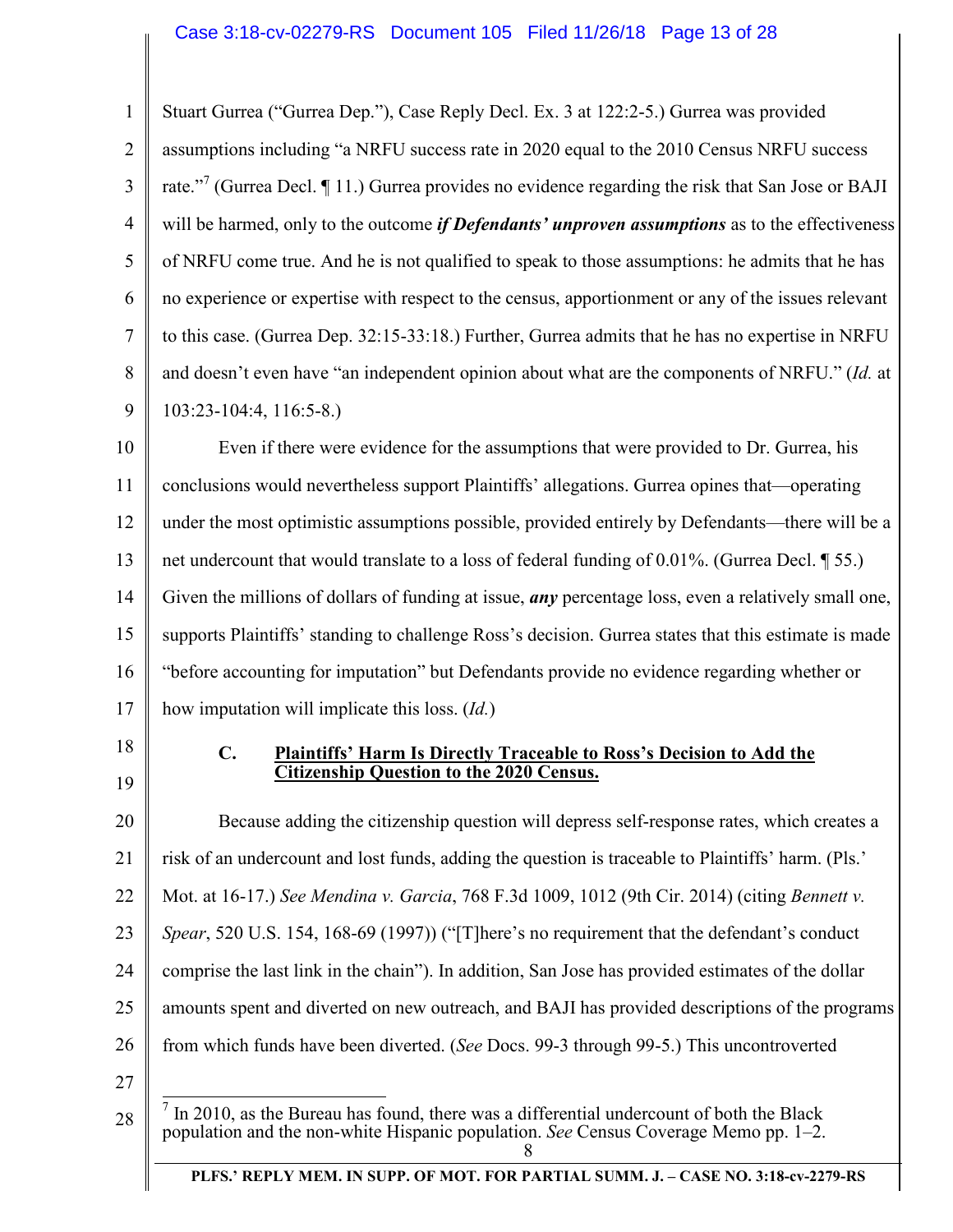1 2 3 4 5 6 7 8 9 Stuart Gurrea ("Gurrea Dep."), Case Reply Decl. Ex. 3 at 122:2-5.) Gurrea was provided assumptions including "a NRFU success rate in 2020 equal to the 2010 Census NRFU success rate."<sup>7</sup> (Gurrea Decl. ¶ 11.) Gurrea provides no evidence regarding the risk that San Jose or BAJI will be harmed, only to the outcome *if Defendants' unproven assumptions* as to the effectiveness of NRFU come true. And he is not qualified to speak to those assumptions: he admits that he has no experience or expertise with respect to the census, apportionment or any of the issues relevant to this case. (Gurrea Dep. 32:15-33:18.) Further, Gurrea admits that he has no expertise in NRFU and doesn't even have "an independent opinion about what are the components of NRFU." (*Id.* at 103:23-104:4, 116:5-8.)

10 11 12 13 14 15 16 17 Even if there were evidence for the assumptions that were provided to Dr. Gurrea, his conclusions would nevertheless support Plaintiffs' allegations. Gurrea opines that—operating under the most optimistic assumptions possible, provided entirely by Defendants—there will be a net undercount that would translate to a loss of federal funding of 0.01%. (Gurrea Decl. ¶ 55.) Given the millions of dollars of funding at issue, *any* percentage loss, even a relatively small one, supports Plaintiffs' standing to challenge Ross's decision. Gurrea states that this estimate is made "before accounting for imputation" but Defendants provide no evidence regarding whether or how imputation will implicate this loss. (*Id.*)

- 18
- 19

### **C. Plaintiffs' Harm Is Directly Traceable to Ross's Decision to Add the Citizenship Question to the 2020 Census.**

20 21 22 23 24 25 26 Because adding the citizenship question will depress self-response rates, which creates a risk of an undercount and lost funds, adding the question is traceable to Plaintiffs' harm. (Pls.' Mot. at 16-17.) *See Mendina v. Garcia*, 768 F.3d 1009, 1012 (9th Cir. 2014) (citing *Bennett v. Spear*, 520 U.S. 154, 168-69 (1997)) ("[T]here's no requirement that the defendant's conduct comprise the last link in the chain"). In addition, San Jose has provided estimates of the dollar amounts spent and diverted on new outreach, and BAJI has provided descriptions of the programs from which funds have been diverted. (*See* Docs. 99-3 through 99-5.) This uncontroverted

27

<sup>8</sup> <sup>7</sup> In 2010, as the Bureau has found, there was a differential undercount of both the Black population and the non-white Hispanic population. *See* Census Coverage Memo pp. 1–2.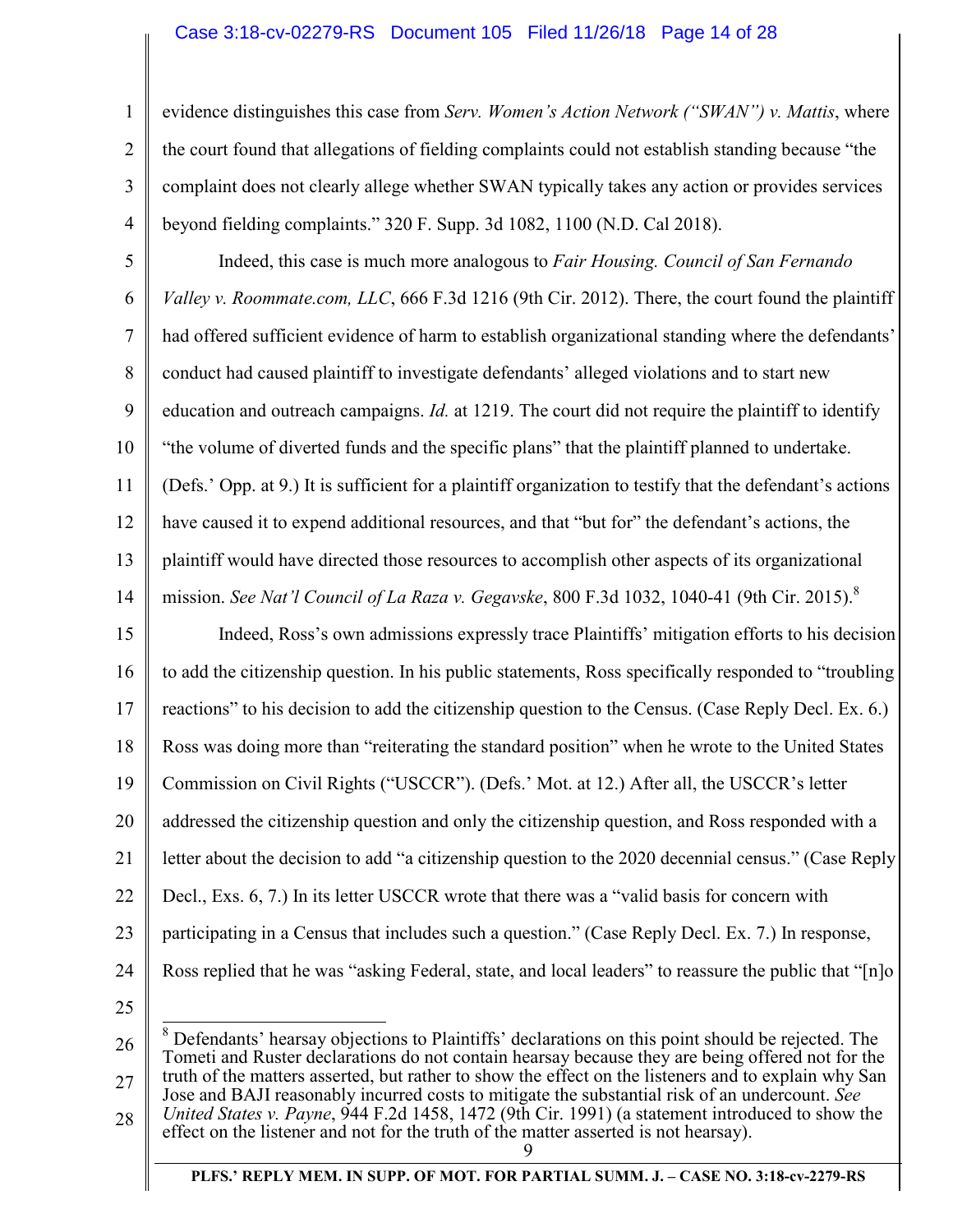## Case 3:18-cv-02279-RS Document 105 Filed 11/26/18 Page 14 of 28

evidence distinguishes this case from *Serv. Women's Action Network ("SWAN") v. Mattis*, where the court found that allegations of fielding complaints could not establish standing because "the complaint does not clearly allege whether SWAN typically takes any action or provides services beyond fielding complaints." 320 F. Supp. 3d 1082, 1100 (N.D. Cal 2018).

5 6 7 8 9 10 11 12 13 14 15 16 17 18 19 20 Indeed, this case is much more analogous to *Fair Housing. Council of San Fernando Valley v. Roommate.com, LLC*, 666 F.3d 1216 (9th Cir. 2012). There, the court found the plaintiff had offered sufficient evidence of harm to establish organizational standing where the defendants' conduct had caused plaintiff to investigate defendants' alleged violations and to start new education and outreach campaigns. *Id.* at 1219. The court did not require the plaintiff to identify "the volume of diverted funds and the specific plans" that the plaintiff planned to undertake. (Defs.' Opp. at 9.) It is sufficient for a plaintiff organization to testify that the defendant's actions have caused it to expend additional resources, and that "but for" the defendant's actions, the plaintiff would have directed those resources to accomplish other aspects of its organizational mission. *See Nat'l Council of La Raza v. Gegavske*, 800 F.3d 1032, 1040-41 (9th Cir. 2015).<sup>8</sup> Indeed, Ross's own admissions expressly trace Plaintiffs' mitigation efforts to his decision to add the citizenship question. In his public statements, Ross specifically responded to "troubling reactions" to his decision to add the citizenship question to the Census. (Case Reply Decl. Ex. 6.) Ross was doing more than "reiterating the standard position" when he wrote to the United States Commission on Civil Rights ("USCCR"). (Defs.' Mot. at 12.) After all, the USCCR's letter addressed the citizenship question and only the citizenship question, and Ross responded with a

21 letter about the decision to add "a citizenship question to the 2020 decennial census." (Case Reply

22 Decl., Exs. 6, 7.) In its letter USCCR wrote that there was a "valid basis for concern with

23 participating in a Census that includes such a question." (Case Reply Decl. Ex. 7.) In response,

Ross replied that he was "asking Federal, state, and local leaders" to reassure the public that "[n]o

24 25

1

2

3

4

26 27 <sup>8</sup> Defendants' hearsay objections to Plaintiffs' declarations on this point should be rejected. The Tometi and Ruster declarations do not contain hearsay because they are being offered not for the truth of the matters asserted, but rather to show the effect on the listeners and to explain why San Jose and BAJI reasonably incurred costs to mitigate the substantial risk of an undercount. *See* 

28 *United States v. Payne*, 944 F.2d 1458, 1472 (9th Cir. 1991) (a statement introduced to show the effect on the listener and not for the truth of the matter asserted is not hearsay).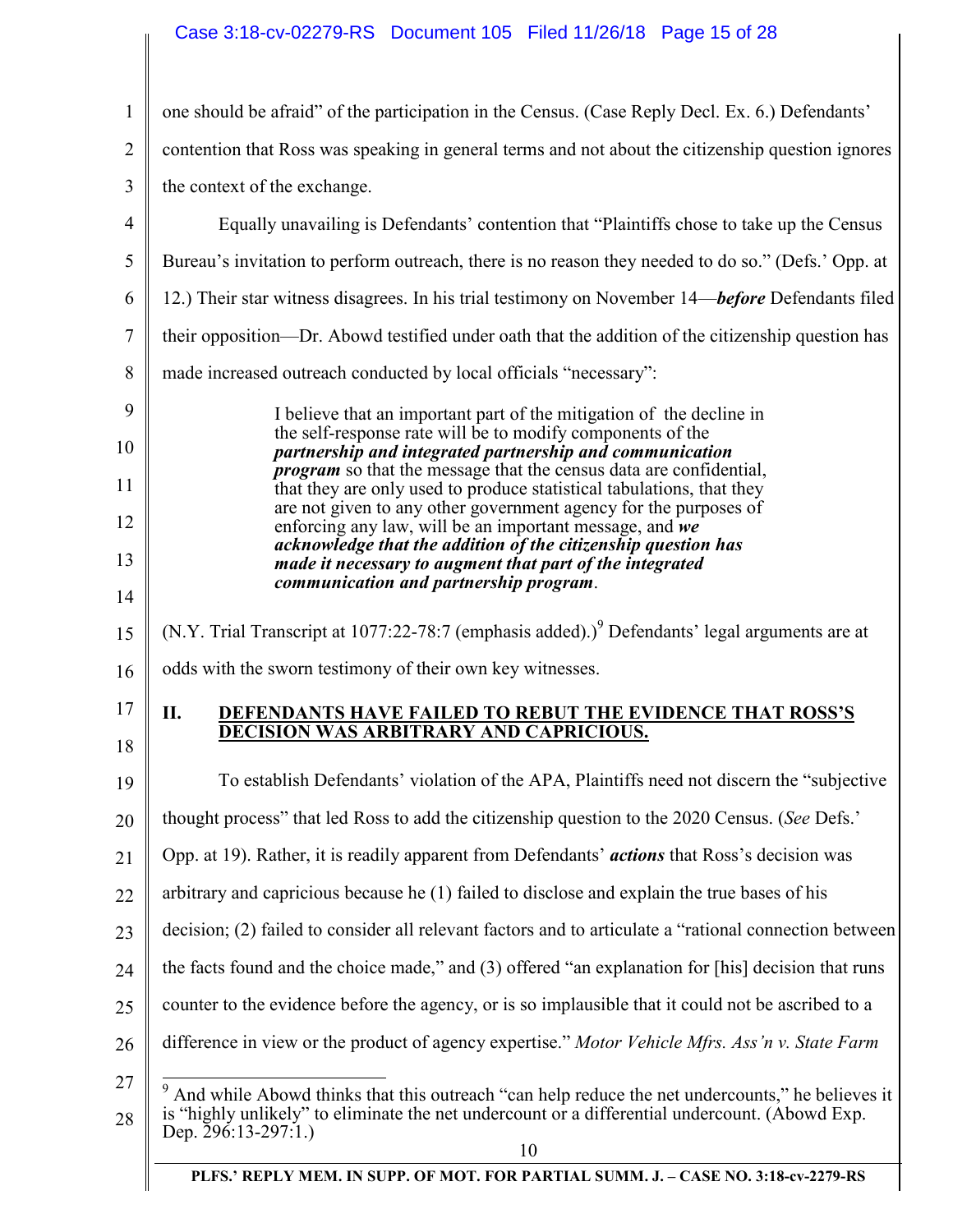# Case 3:18-cv-02279-RS Document 105 Filed 11/26/18 Page 15 of 28

| $\mathbf{1}$   | one should be afraid" of the participation in the Census. (Case Reply Decl. Ex. 6.) Defendants'                                                                                                                                     |
|----------------|-------------------------------------------------------------------------------------------------------------------------------------------------------------------------------------------------------------------------------------|
| $\overline{2}$ | contention that Ross was speaking in general terms and not about the citizenship question ignores                                                                                                                                   |
| 3              | the context of the exchange.                                                                                                                                                                                                        |
| $\overline{4}$ | Equally unavailing is Defendants' contention that "Plaintiffs chose to take up the Census                                                                                                                                           |
| 5              | Bureau's invitation to perform outreach, there is no reason they needed to do so." (Defs.' Opp. at                                                                                                                                  |
| 6              | 12.) Their star witness disagrees. In his trial testimony on November 14—before Defendants filed                                                                                                                                    |
| $\overline{7}$ | their opposition—Dr. Abowd testified under oath that the addition of the citizenship question has                                                                                                                                   |
| 8              | made increased outreach conducted by local officials "necessary":                                                                                                                                                                   |
| 9              | I believe that an important part of the mitigation of the decline in                                                                                                                                                                |
| 10             | the self-response rate will be to modify components of the<br>partnership and integrated partnership and communication                                                                                                              |
| 11             | <i>program</i> so that the message that the census data are confidential,<br>that they are only used to produce statistical tabulations, that they                                                                                  |
| 12             | are not given to any other government agency for the purposes of<br>enforcing any law, will be an important message, and we                                                                                                         |
| 13             | acknowledge that the addition of the citizenship question has<br>made it necessary to augment that part of the integrated                                                                                                           |
| 14             | communication and partnership program.                                                                                                                                                                                              |
| 15             | (N.Y. Trial Transcript at 1077:22-78:7 (emphasis added).) <sup>9</sup> Defendants' legal arguments are at                                                                                                                           |
| 16             | odds with the sworn testimony of their own key witnesses.                                                                                                                                                                           |
| 17             | П.<br><b>DEFENDANTS HAVE FAILED TO REBUT THE EVIDENCE THAT ROSS'S</b>                                                                                                                                                               |
| 18             | <b>DECISION WAS ARBITRARY AND CAPRICIOUS.</b>                                                                                                                                                                                       |
| 19             | To establish Defendants' violation of the APA, Plaintiffs need not discern the "subjective"                                                                                                                                         |
| 20             | thought process" that led Ross to add the citizenship question to the 2020 Census. (See Defs."                                                                                                                                      |
| 21             | Opp. at 19). Rather, it is readily apparent from Defendants' <i>actions</i> that Ross's decision was                                                                                                                                |
| 22             | arbitrary and capricious because he (1) failed to disclose and explain the true bases of his                                                                                                                                        |
| 23             | decision; (2) failed to consider all relevant factors and to articulate a "rational connection between                                                                                                                              |
| 24             | the facts found and the choice made," and (3) offered "an explanation for [his] decision that runs                                                                                                                                  |
| 25             | counter to the evidence before the agency, or is so implausible that it could not be ascribed to a                                                                                                                                  |
| 26             | difference in view or the product of agency expertise." Motor Vehicle Mfrs. Ass'n v. State Farm                                                                                                                                     |
| 27<br>28       | 9<br>And while Abowd thinks that this outreach "can help reduce the net undercounts," he believes it<br>is "highly unlikely" to eliminate the net undercount or a differential undercount. (Abowd Exp.<br>Dep. 296:13-297:1.)<br>10 |
|                | PLFS.' REPLY MEM. IN SUPP. OF MOT. FOR PARTIAL SUMM. J. - CASE NO. 3:18-cv-2279-RS                                                                                                                                                  |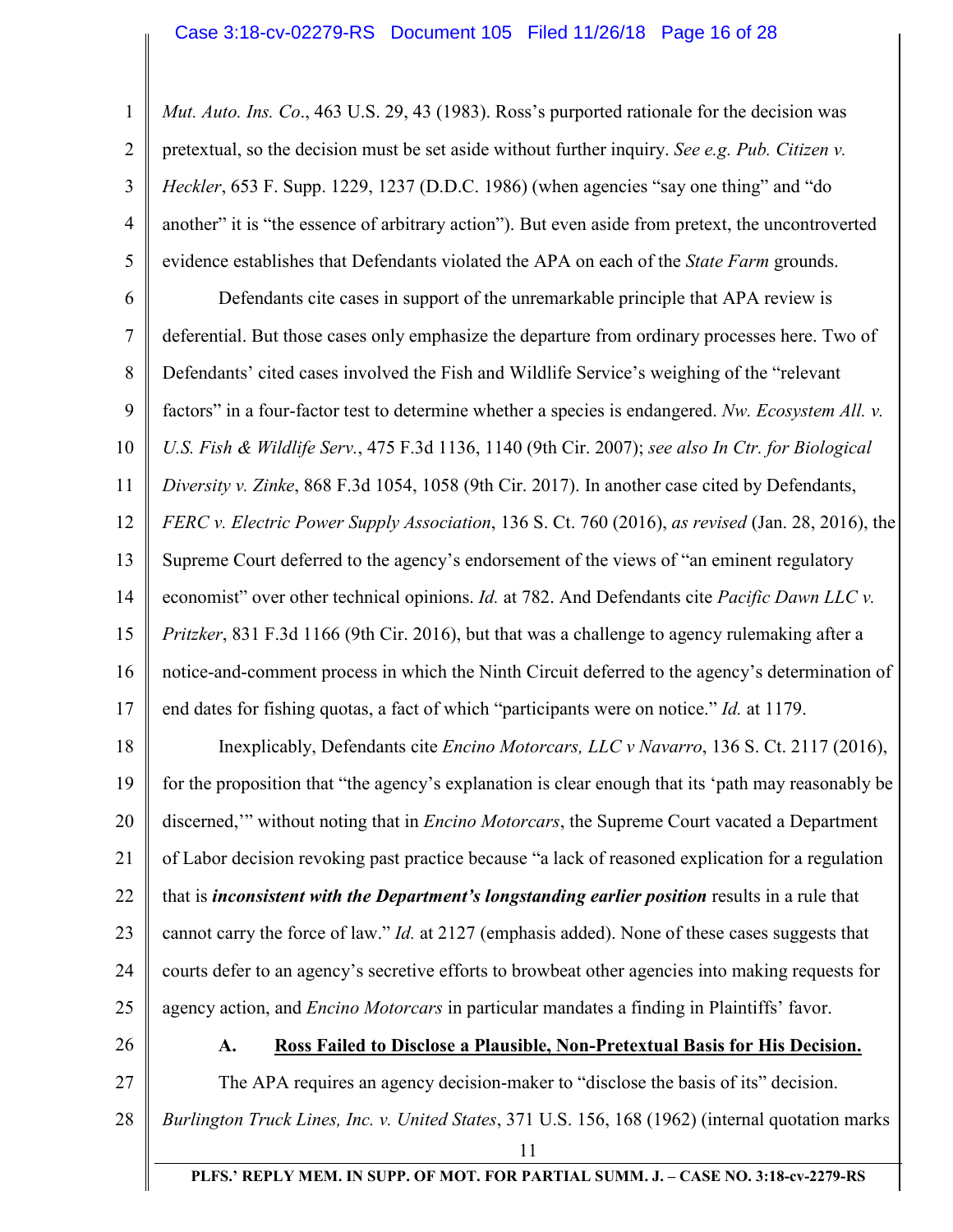1 2 3 4 5 6 7 8 9 10 11 12 13 14 15 16 17 18 19 20 *Mut. Auto. Ins. Co*., 463 U.S. 29, 43 (1983). Ross's purported rationale for the decision was pretextual, so the decision must be set aside without further inquiry. *See e.g. Pub. Citizen v. Heckler*, 653 F. Supp. 1229, 1237 (D.D.C. 1986) (when agencies "say one thing" and "do another" it is "the essence of arbitrary action"). But even aside from pretext, the uncontroverted evidence establishes that Defendants violated the APA on each of the *State Farm* grounds. Defendants cite cases in support of the unremarkable principle that APA review is deferential. But those cases only emphasize the departure from ordinary processes here. Two of Defendants' cited cases involved the Fish and Wildlife Service's weighing of the "relevant factors" in a four-factor test to determine whether a species is endangered. *Nw. Ecosystem All. v. U.S. Fish & Wildlife Serv.*, 475 F.3d 1136, 1140 (9th Cir. 2007); *see also In Ctr. for Biological Diversity v. Zinke*, 868 F.3d 1054, 1058 (9th Cir. 2017). In another case cited by Defendants, *FERC v. Electric Power Supply Association*, 136 S. Ct. 760 (2016), *as revised* (Jan. 28, 2016), the Supreme Court deferred to the agency's endorsement of the views of "an eminent regulatory economist" over other technical opinions. *Id.* at 782. And Defendants cite *Pacific Dawn LLC v. Pritzker*, 831 F.3d 1166 (9th Cir. 2016), but that was a challenge to agency rulemaking after a notice-and-comment process in which the Ninth Circuit deferred to the agency's determination of end dates for fishing quotas, a fact of which "participants were on notice." *Id.* at 1179. Inexplicably, Defendants cite *Encino Motorcars, LLC v Navarro*, 136 S. Ct. 2117 (2016), for the proposition that "the agency's explanation is clear enough that its 'path may reasonably be discerned,'" without noting that in *Encino Motorcars*, the Supreme Court vacated a Department

21 of Labor decision revoking past practice because "a lack of reasoned explication for a regulation

22 23 24 25 that is *inconsistent with the Department's longstanding earlier position* results in a rule that cannot carry the force of law." *Id.* at 2127 (emphasis added). None of these cases suggests that courts defer to an agency's secretive efforts to browbeat other agencies into making requests for agency action, and *Encino Motorcars* in particular mandates a finding in Plaintiffs' favor.

26

27

### **A. Ross Failed to Disclose a Plausible, Non-Pretextual Basis for His Decision.**

The APA requires an agency decision-maker to "disclose the basis of its" decision.

- 28 *Burlington Truck Lines, Inc. v. United States*, 371 U.S. 156, 168 (1962) (internal quotation marks
	- 11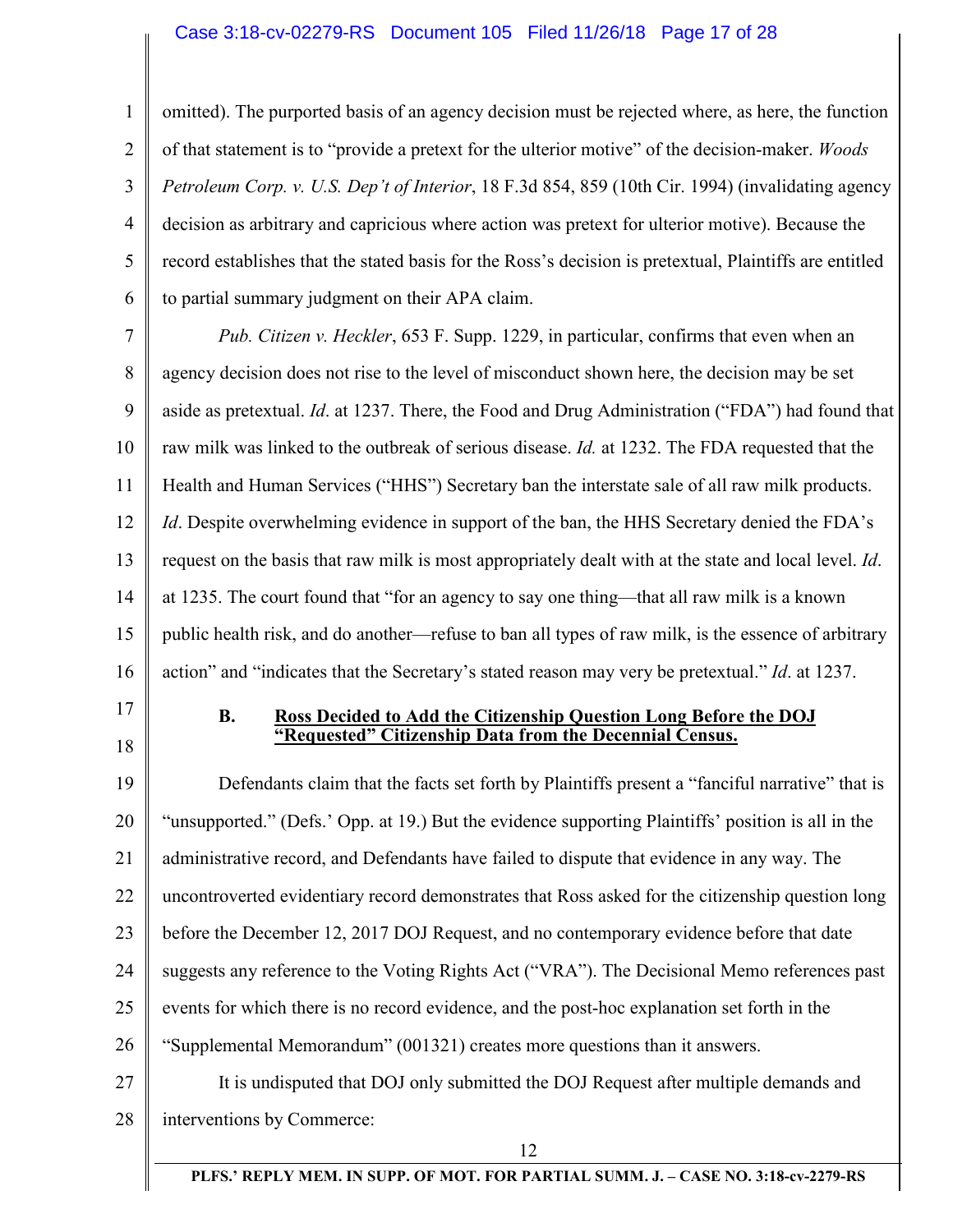### Case 3:18-cv-02279-RS Document 105 Filed 11/26/18 Page 17 of 28

1 2 3 4 5 6 omitted). The purported basis of an agency decision must be rejected where, as here, the function of that statement is to "provide a pretext for the ulterior motive" of the decision-maker. *Woods Petroleum Corp. v. U.S. Dep't of Interior*, 18 F.3d 854, 859 (10th Cir. 1994) (invalidating agency decision as arbitrary and capricious where action was pretext for ulterior motive). Because the record establishes that the stated basis for the Ross's decision is pretextual, Plaintiffs are entitled to partial summary judgment on their APA claim.

7 8 9 10 11 12 13 14 15 16 *Pub. Citizen v. Heckler*, 653 F. Supp. 1229, in particular, confirms that even when an agency decision does not rise to the level of misconduct shown here, the decision may be set aside as pretextual. *Id*. at 1237. There, the Food and Drug Administration ("FDA") had found that raw milk was linked to the outbreak of serious disease. *Id.* at 1232. The FDA requested that the Health and Human Services ("HHS") Secretary ban the interstate sale of all raw milk products. *Id*. Despite overwhelming evidence in support of the ban, the HHS Secretary denied the FDA's request on the basis that raw milk is most appropriately dealt with at the state and local level. *Id*. at 1235. The court found that "for an agency to say one thing—that all raw milk is a known public health risk, and do another—refuse to ban all types of raw milk, is the essence of arbitrary action" and "indicates that the Secretary's stated reason may very be pretextual." *Id*. at 1237.

17

18

### **B. Ross Decided to Add the Citizenship Question Long Before the DOJ "Requested" Citizenship Data from the Decennial Census.**

19 20 21 22 23 24 25 26 27 28 Defendants claim that the facts set forth by Plaintiffs present a "fanciful narrative" that is "unsupported." (Defs.' Opp. at 19.) But the evidence supporting Plaintiffs' position is all in the administrative record, and Defendants have failed to dispute that evidence in any way. The uncontroverted evidentiary record demonstrates that Ross asked for the citizenship question long before the December 12, 2017 DOJ Request, and no contemporary evidence before that date suggests any reference to the Voting Rights Act ("VRA"). The Decisional Memo references past events for which there is no record evidence, and the post-hoc explanation set forth in the "Supplemental Memorandum" (001321) creates more questions than it answers. It is undisputed that DOJ only submitted the DOJ Request after multiple demands and interventions by Commerce: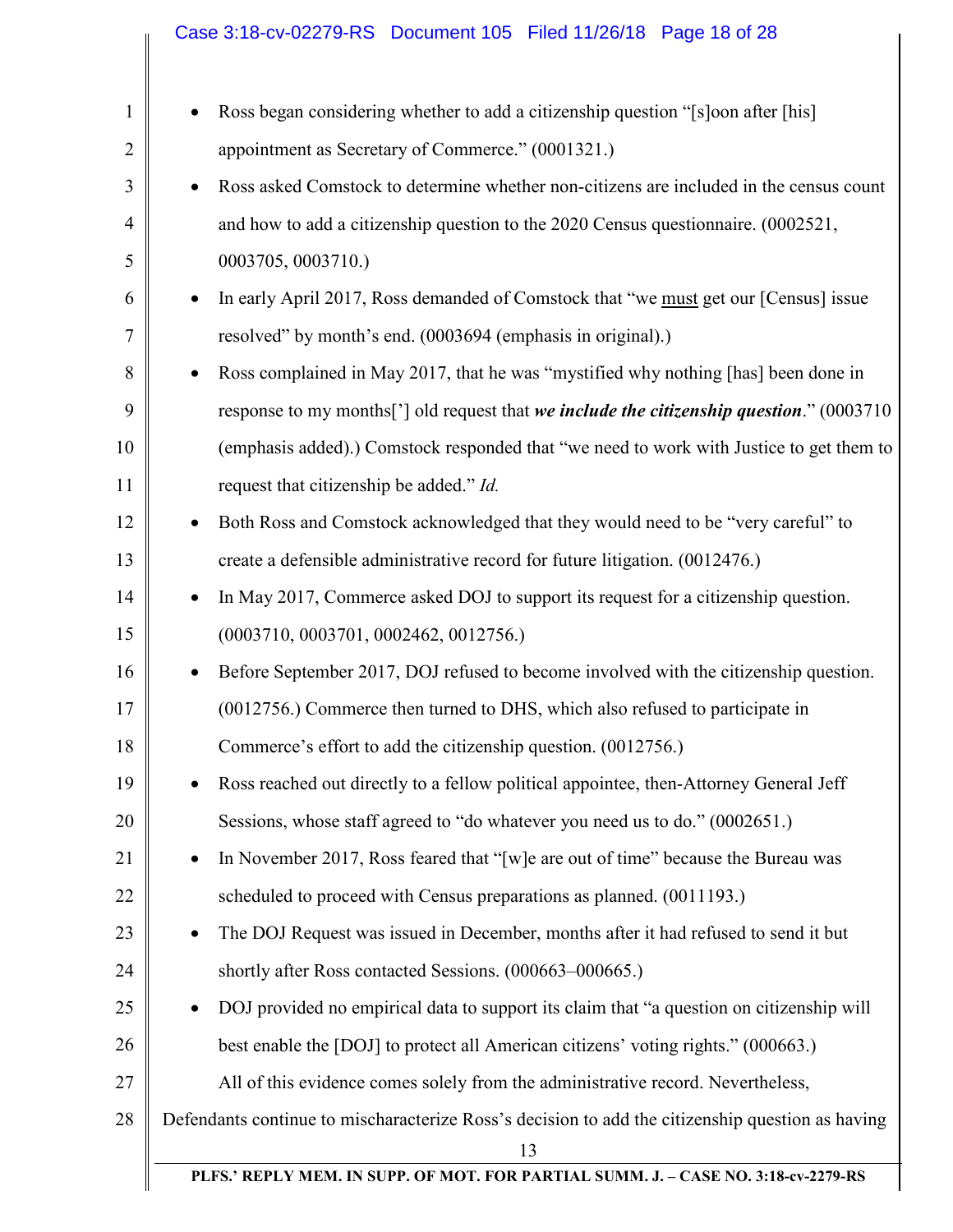|                | Case 3:18-cv-02279-RS Document 105 Filed 11/26/18 Page 18 of 28                                  |
|----------------|--------------------------------------------------------------------------------------------------|
|                |                                                                                                  |
| $\mathbf{1}$   | Ross began considering whether to add a citizenship question "[s]oon after [his]                 |
| $\overline{2}$ | appointment as Secretary of Commerce." (0001321.)                                                |
| 3              | Ross asked Comstock to determine whether non-citizens are included in the census count           |
| $\overline{4}$ | and how to add a citizenship question to the 2020 Census questionnaire. (0002521,                |
| 5              | 0003705, 0003710.)                                                                               |
| 6              | In early April 2017, Ross demanded of Comstock that "we must get our [Census] issue              |
| 7              | resolved" by month's end. (0003694 (emphasis in original).)                                      |
| 8              | Ross complained in May 2017, that he was "mystified why nothing [has] been done in               |
| 9              | response to my months['] old request that we include the citizenship question." (0003710         |
| 10             | (emphasis added).) Comstock responded that "we need to work with Justice to get them to          |
| 11             | request that citizenship be added." Id.                                                          |
| 12             | Both Ross and Comstock acknowledged that they would need to be "very careful" to                 |
| 13             | create a defensible administrative record for future litigation. (0012476.)                      |
| 14             | In May 2017, Commerce asked DOJ to support its request for a citizenship question.               |
| 15             | (0003710, 0003701, 0002462, 0012756.)                                                            |
| 16             | Before September 2017, DOJ refused to become involved with the citizenship question.             |
| 17             | (0012756.) Commerce then turned to DHS, which also refused to participate in                     |
| 18             | Commerce's effort to add the citizenship question. (0012756.)                                    |
| 19             | Ross reached out directly to a fellow political appointee, then-Attorney General Jeff            |
| 20             | Sessions, whose staff agreed to "do whatever you need us to do." (0002651.)                      |
| 21             | In November 2017, Ross feared that "[w] e are out of time" because the Bureau was<br>$\bullet$   |
| 22             | scheduled to proceed with Census preparations as planned. (0011193.)                             |
| 23             | The DOJ Request was issued in December, months after it had refused to send it but<br>٠          |
| 24             | shortly after Ross contacted Sessions. (000663-000665.)                                          |
| 25             | DOJ provided no empirical data to support its claim that "a question on citizenship will         |
| 26             | best enable the [DOJ] to protect all American citizens' voting rights." (000663.)                |
| 27             | All of this evidence comes solely from the administrative record. Nevertheless,                  |
| 28             | Defendants continue to mischaracterize Ross's decision to add the citizenship question as having |
|                | 13<br>PLFS.' REPLY MEM. IN SUPP. OF MOT. FOR PARTIAL SUMM. J. - CASE NO. 3:18-cv-2279-RS         |
|                |                                                                                                  |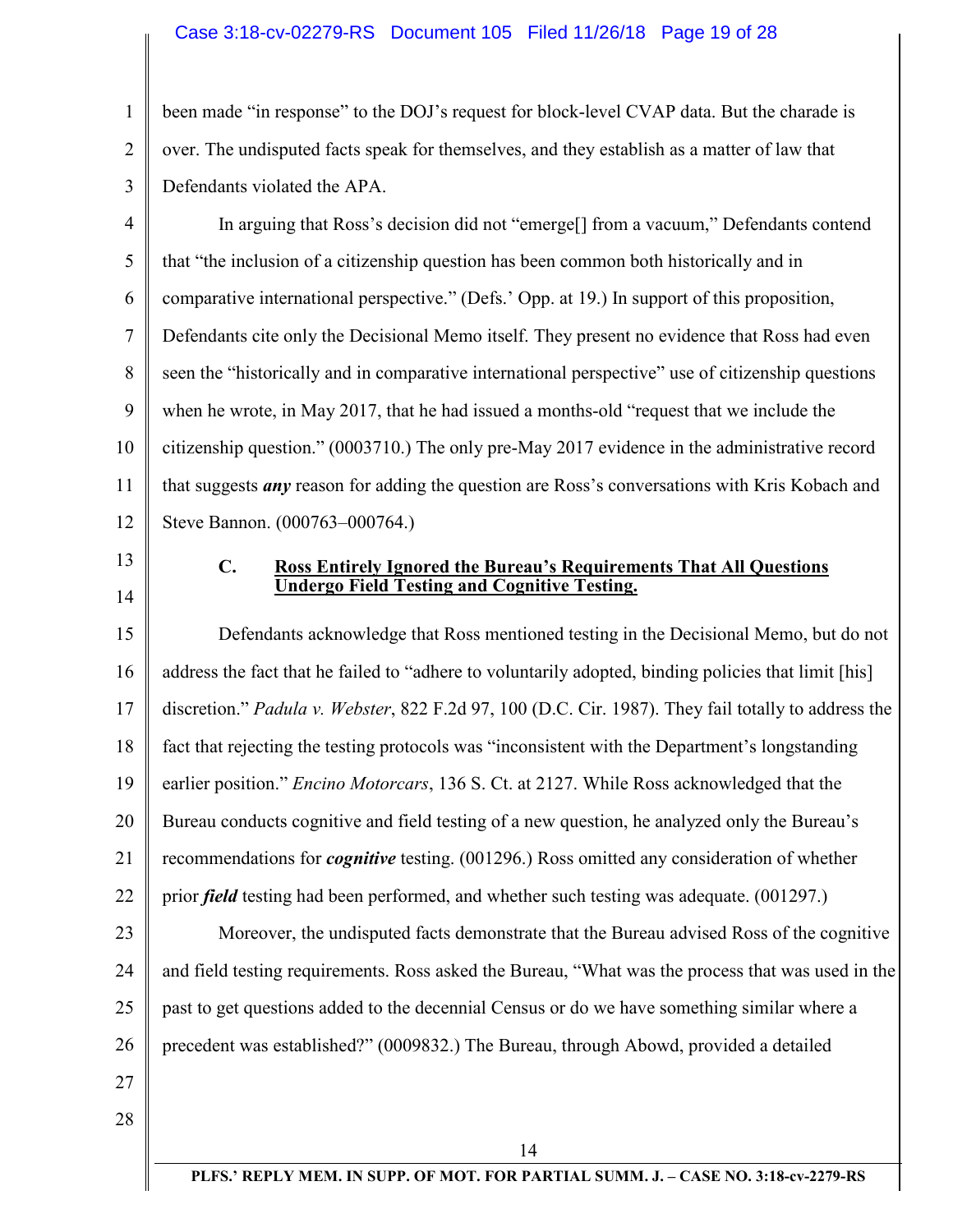### Case 3:18-cv-02279-RS Document 105 Filed 11/26/18 Page 19 of 28

1 2 3 been made "in response" to the DOJ's request for block-level CVAP data. But the charade is over. The undisputed facts speak for themselves, and they establish as a matter of law that Defendants violated the APA.

4 5 6 7 8 9 10 11 12 In arguing that Ross's decision did not "emerge[] from a vacuum," Defendants contend that "the inclusion of a citizenship question has been common both historically and in comparative international perspective." (Defs.' Opp. at 19.) In support of this proposition, Defendants cite only the Decisional Memo itself. They present no evidence that Ross had even seen the "historically and in comparative international perspective" use of citizenship questions when he wrote, in May 2017, that he had issued a months-old "request that we include the citizenship question." (0003710.) The only pre-May 2017 evidence in the administrative record that suggests *any* reason for adding the question are Ross's conversations with Kris Kobach and Steve Bannon. (000763–000764.)

- 13
- 14

### **C. Ross Entirely Ignored the Bureau's Requirements That All Questions Undergo Field Testing and Cognitive Testing.**

15 16 17 18 19 20 21 22 Defendants acknowledge that Ross mentioned testing in the Decisional Memo, but do not address the fact that he failed to "adhere to voluntarily adopted, binding policies that limit [his] discretion." *Padula v. Webster*, 822 F.2d 97, 100 (D.C. Cir. 1987). They fail totally to address the fact that rejecting the testing protocols was "inconsistent with the Department's longstanding earlier position." *Encino Motorcars*, 136 S. Ct. at 2127. While Ross acknowledged that the Bureau conducts cognitive and field testing of a new question, he analyzed only the Bureau's recommendations for *cognitive* testing. (001296.) Ross omitted any consideration of whether prior *field* testing had been performed, and whether such testing was adequate. (001297.)

23 24 25 26 Moreover, the undisputed facts demonstrate that the Bureau advised Ross of the cognitive and field testing requirements. Ross asked the Bureau, "What was the process that was used in the past to get questions added to the decennial Census or do we have something similar where a precedent was established?" (0009832.) The Bureau, through Abowd, provided a detailed

- 27
- 28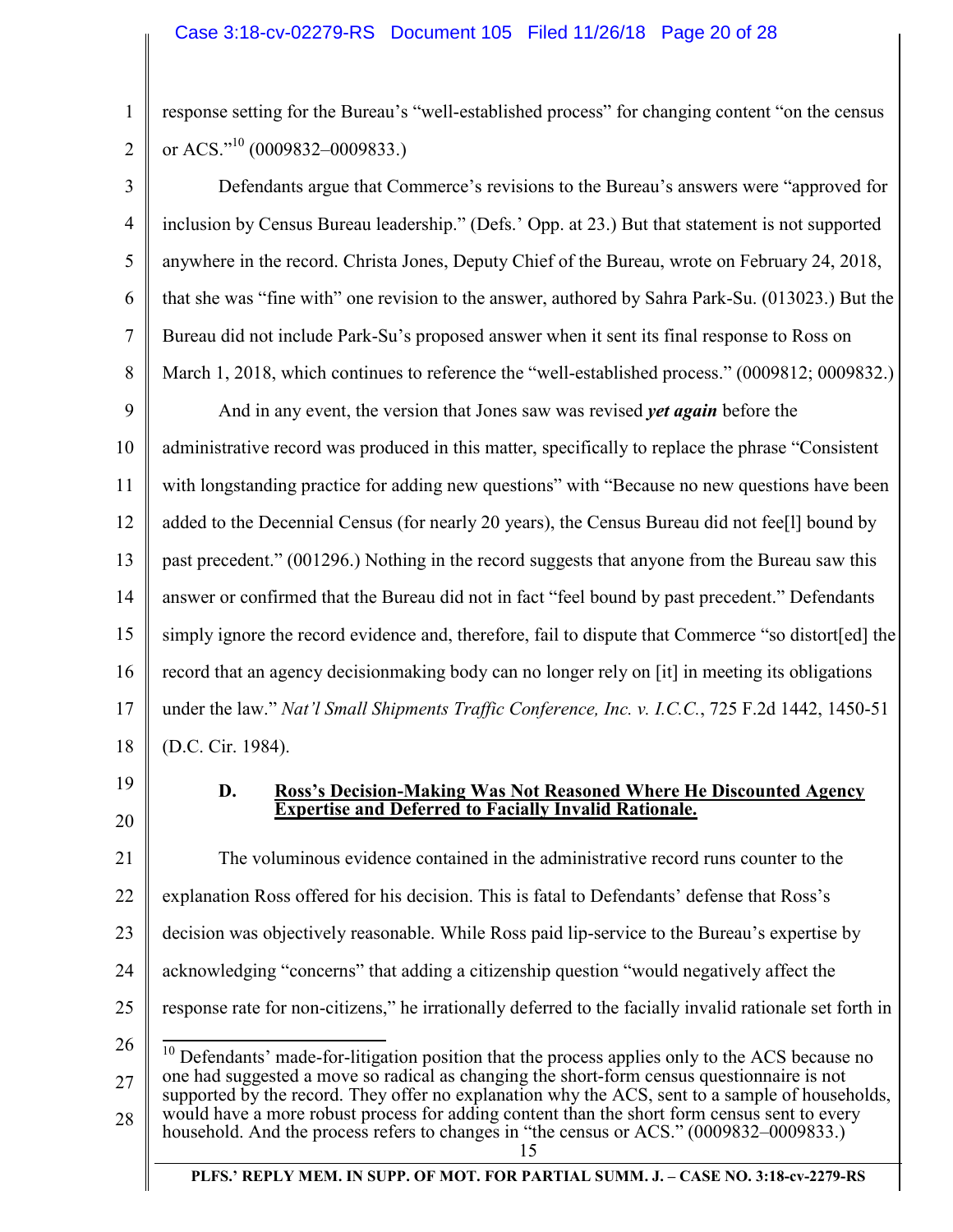response setting for the Bureau's "well-established process" for changing content "on the census or ACS."<sup>10</sup> (0009832–0009833.)

3 4 5 6 7 8 9 10 11 12 13 14 15 16 17 18 Defendants argue that Commerce's revisions to the Bureau's answers were "approved for inclusion by Census Bureau leadership." (Defs.' Opp. at 23.) But that statement is not supported anywhere in the record. Christa Jones, Deputy Chief of the Bureau, wrote on February 24, 2018, that she was "fine with" one revision to the answer, authored by Sahra Park-Su. (013023.) But the Bureau did not include Park-Su's proposed answer when it sent its final response to Ross on March 1, 2018, which continues to reference the "well-established process." (0009812; 0009832.) And in any event, the version that Jones saw was revised *yet again* before the administrative record was produced in this matter, specifically to replace the phrase "Consistent with longstanding practice for adding new questions" with "Because no new questions have been added to the Decennial Census (for nearly 20 years), the Census Bureau did not fee[l] bound by past precedent." (001296.) Nothing in the record suggests that anyone from the Bureau saw this answer or confirmed that the Bureau did not in fact "feel bound by past precedent." Defendants simply ignore the record evidence and, therefore, fail to dispute that Commerce "so distort[ed] the record that an agency decisionmaking body can no longer rely on [it] in meeting its obligations under the law." *Nat'l Small Shipments Traffic Conference, Inc. v. I.C.C.*, 725 F.2d 1442, 1450-51 (D.C. Cir. 1984).

19 20

1

2

## **D. Ross's Decision-Making Was Not Reasoned Where He Discounted Agency Expertise and Deferred to Facially Invalid Rationale.**

21 22 23 24 25 26 The voluminous evidence contained in the administrative record runs counter to the explanation Ross offered for his decision. This is fatal to Defendants' defense that Ross's decision was objectively reasonable. While Ross paid lip-service to the Bureau's expertise by acknowledging "concerns" that adding a citizenship question "would negatively affect the response rate for non-citizens," he irrationally deferred to the facially invalid rationale set forth in  $\overline{a}$  $10$  Defendants' made-for-litigation position that the process applies only to the ACS because no

27 28 one had suggested a move so radical as changing the short-form census questionnaire is not supported by the record. They offer no explanation why the ACS, sent to a sample of households, would have a more robust process for adding content than the short form census sent to every household. And the process refers to changes in "the census or ACS." (0009832–0009833.)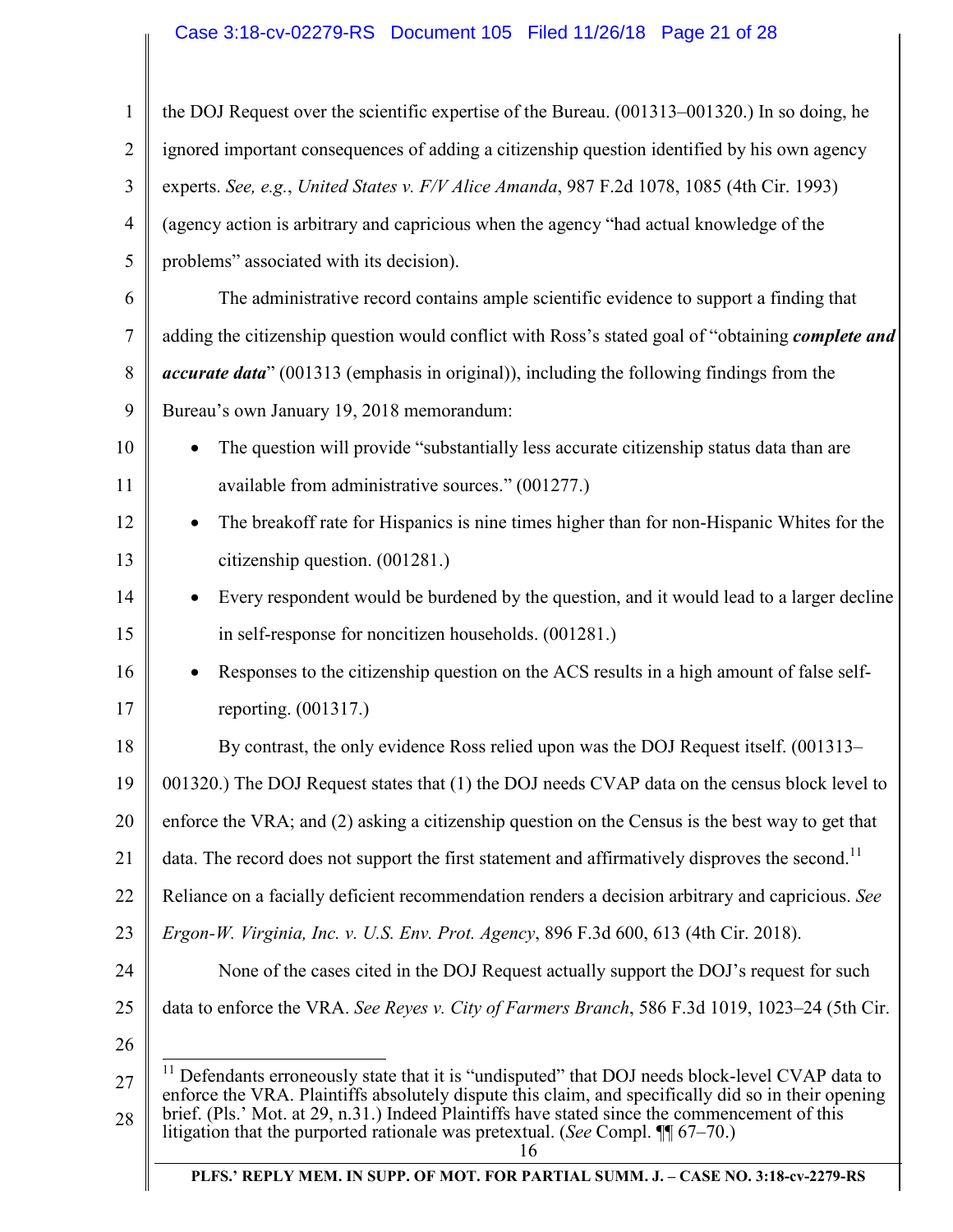# Case 3:18-cv-02279-RS Document 105 Filed 11/26/18 Page 21 of 28

| 1              | the DOJ Request over the scientific expertise of the Bureau. (001313–001320.) In so doing, he                                                                                                                                                                                                                                                                                                  |
|----------------|------------------------------------------------------------------------------------------------------------------------------------------------------------------------------------------------------------------------------------------------------------------------------------------------------------------------------------------------------------------------------------------------|
| $\overline{2}$ | ignored important consequences of adding a citizenship question identified by his own agency                                                                                                                                                                                                                                                                                                   |
| 3              | experts. See, e.g., United States v. F/V Alice Amanda, 987 F.2d 1078, 1085 (4th Cir. 1993)                                                                                                                                                                                                                                                                                                     |
| $\overline{4}$ | (agency action is arbitrary and capricious when the agency "had actual knowledge of the                                                                                                                                                                                                                                                                                                        |
| 5              | problems" associated with its decision).                                                                                                                                                                                                                                                                                                                                                       |
| 6              | The administrative record contains ample scientific evidence to support a finding that                                                                                                                                                                                                                                                                                                         |
| 7              | adding the citizenship question would conflict with Ross's stated goal of "obtaining complete and                                                                                                                                                                                                                                                                                              |
| 8              | accurate data" (001313 (emphasis in original)), including the following findings from the                                                                                                                                                                                                                                                                                                      |
| 9              | Bureau's own January 19, 2018 memorandum:                                                                                                                                                                                                                                                                                                                                                      |
| 10             | The question will provide "substantially less accurate citizenship status data than are                                                                                                                                                                                                                                                                                                        |
| 11             | available from administrative sources." (001277.)                                                                                                                                                                                                                                                                                                                                              |
| 12             | The breakoff rate for Hispanics is nine times higher than for non-Hispanic Whites for the                                                                                                                                                                                                                                                                                                      |
| 13             | citizenship question. (001281.)                                                                                                                                                                                                                                                                                                                                                                |
| 14             | Every respondent would be burdened by the question, and it would lead to a larger decline                                                                                                                                                                                                                                                                                                      |
| 15             | in self-response for noncitizen households. (001281.)                                                                                                                                                                                                                                                                                                                                          |
| 16             | Responses to the citizenship question on the ACS results in a high amount of false self-                                                                                                                                                                                                                                                                                                       |
| 17             | reporting. (001317.)                                                                                                                                                                                                                                                                                                                                                                           |
| 18             | By contrast, the only evidence Ross relied upon was the DOJ Request itself. (001313–                                                                                                                                                                                                                                                                                                           |
| 19             | 001320.) The DOJ Request states that (1) the DOJ needs CVAP data on the census block level to                                                                                                                                                                                                                                                                                                  |
| 20             | enforce the VRA; and (2) asking a citizenship question on the Census is the best way to get that                                                                                                                                                                                                                                                                                               |
| 21             | data. The record does not support the first statement and affirmatively disproves the second. <sup>11</sup>                                                                                                                                                                                                                                                                                    |
| 22             | Reliance on a facially deficient recommendation renders a decision arbitrary and capricious. See                                                                                                                                                                                                                                                                                               |
| 23             | <i>Ergon-W. Virginia, Inc. v. U.S. Env. Prot. Agency</i> , 896 F.3d 600, 613 (4th Cir. 2018).                                                                                                                                                                                                                                                                                                  |
| 24             | None of the cases cited in the DOJ Request actually support the DOJ's request for such                                                                                                                                                                                                                                                                                                         |
| 25             | data to enforce the VRA. See Reyes v. City of Farmers Branch, 586 F.3d 1019, 1023–24 (5th Cir.                                                                                                                                                                                                                                                                                                 |
| 26             |                                                                                                                                                                                                                                                                                                                                                                                                |
| 27<br>28       | Defendants erroneously state that it is "undisputed" that DOJ needs block-level CVAP data to<br>enforce the VRA. Plaintiffs absolutely dispute this claim, and specifically did so in their opening<br>brief. (Pls.' Mot. at 29, n.31.) Indeed Plaintiffs have stated since the commencement of this<br>litigation that the purported rationale was pretextual. (See Compl. $\P$ 67–70.)<br>16 |
|                | PLFS.' REPLY MEM. IN SUPP. OF MOT. FOR PARTIAL SUMM. J. - CASE NO. 3:18-cv-2279-RS                                                                                                                                                                                                                                                                                                             |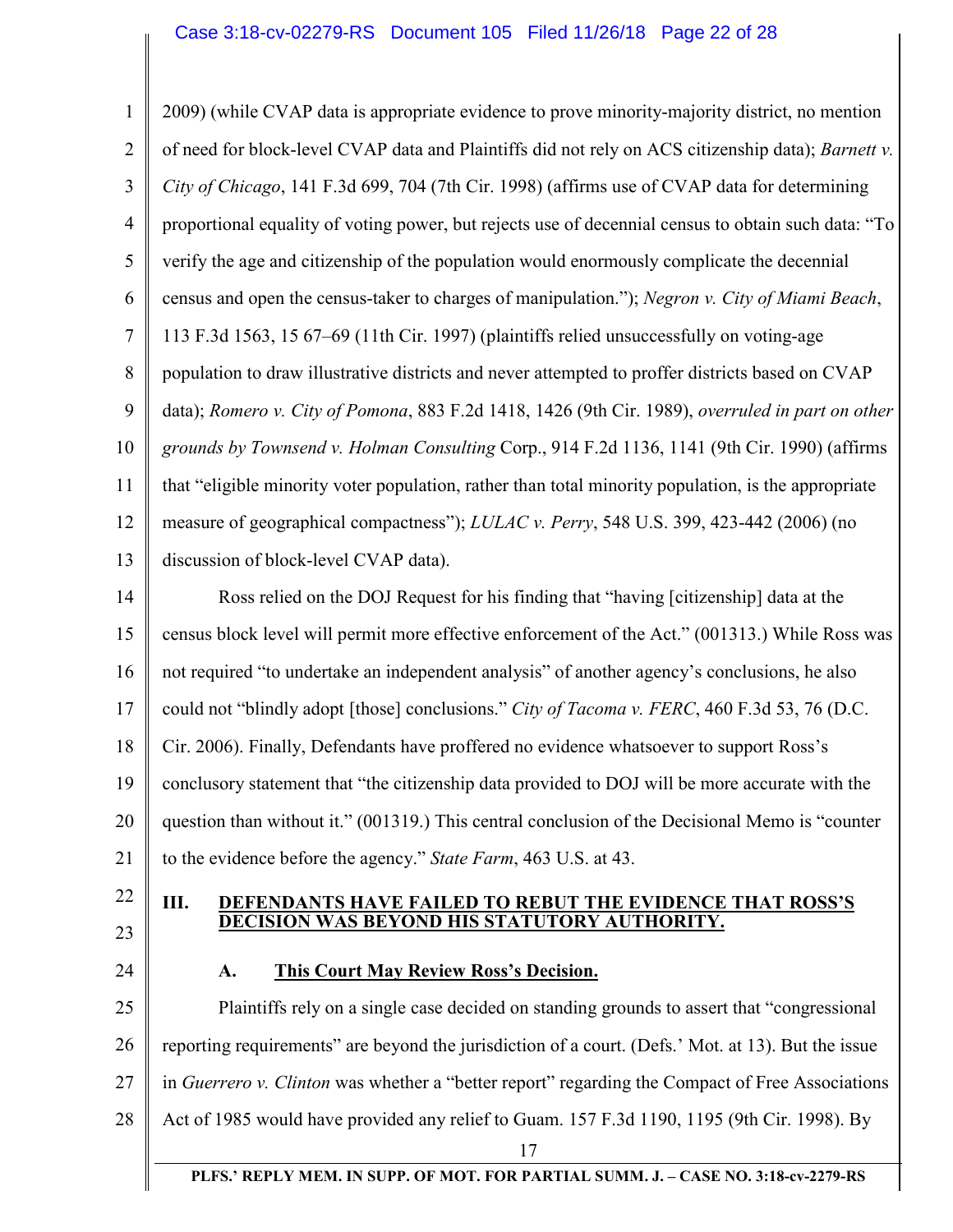| 2009) (while CVAP data is appropriate evidence to prove minority-majority district, no mention      |
|-----------------------------------------------------------------------------------------------------|
| of need for block-level CVAP data and Plaintiffs did not rely on ACS citizenship data); Barnett v.  |
| City of Chicago, 141 F.3d 699, 704 (7th Cir. 1998) (affirms use of CVAP data for determining        |
| proportional equality of voting power, but rejects use of decennial census to obtain such data: "To |
| verify the age and citizenship of the population would enormously complicate the decennial          |
| census and open the census-taker to charges of manipulation."); Negron v. City of Miami Beach,      |
| 113 F.3d 1563, 15 67–69 (11th Cir. 1997) (plaintiffs relied unsuccessfully on voting-age            |
| population to draw illustrative districts and never attempted to proffer districts based on CVAP    |
| data); Romero v. City of Pomona, 883 F.2d 1418, 1426 (9th Cir. 1989), overruled in part on other    |
| grounds by Townsend v. Holman Consulting Corp., 914 F.2d 1136, 1141 (9th Cir. 1990) (affirms        |
| that "eligible minority voter population, rather than total minority population, is the appropriate |
| measure of geographical compactness"); LULAC v. Perry, 548 U.S. 399, 423-442 (2006) (no             |
| discussion of block-level CVAP data).                                                               |
| Ross relied on the DOJ Request for his finding that "having [citizenship] data at the               |
| census block level will permit more effective enforcement of the Act." (001313.) While Ross was     |
| not required "to undertake an independent analysis" of another agency's conclusions, he also        |
| could not "blindly adopt [those] conclusions." City of Tacoma v. FERC, 460 F.3d 53, 76 (D.C.        |
| Cir. 2006). Finally, Defendants have proffered no evidence whatsoever to support Ross's             |
| conclusory statement that "the citizenship data provided to DOJ will be more accurate with the      |
| question than without it." (001319.) This central conclusion of the Decisional Memo is "counter     |
| to the evidence before the agency." State Farm, 463 U.S. at 43.                                     |
| Ш.<br>DEFENDANTS HAVE FAILED TO REBUT THE EVIDENCE THAT ROSS'S                                      |
| <b>DECISION WAS BEYOND HIS STATUTORY AUTHORITY.</b>                                                 |
| <b>This Court May Review Ross's Decision.</b><br>A.                                                 |
| Plaintiffs rely on a single case decided on standing grounds to assert that "congressional"         |
| reporting requirements" are beyond the jurisdiction of a court. (Defs.' Mot. at 13). But the issue  |
| in Guerrero v. Clinton was whether a "better report" regarding the Compact of Free Associations     |
| Act of 1985 would have provided any relief to Guam. 157 F.3d 1190, 1195 (9th Cir. 1998). By         |
| 17<br>PLFS.' REPLY MEM. IN SUPP. OF MOT. FOR PARTIAL SUMM. J. - CASE NO. 3:18-cv-2279-RS            |
|                                                                                                     |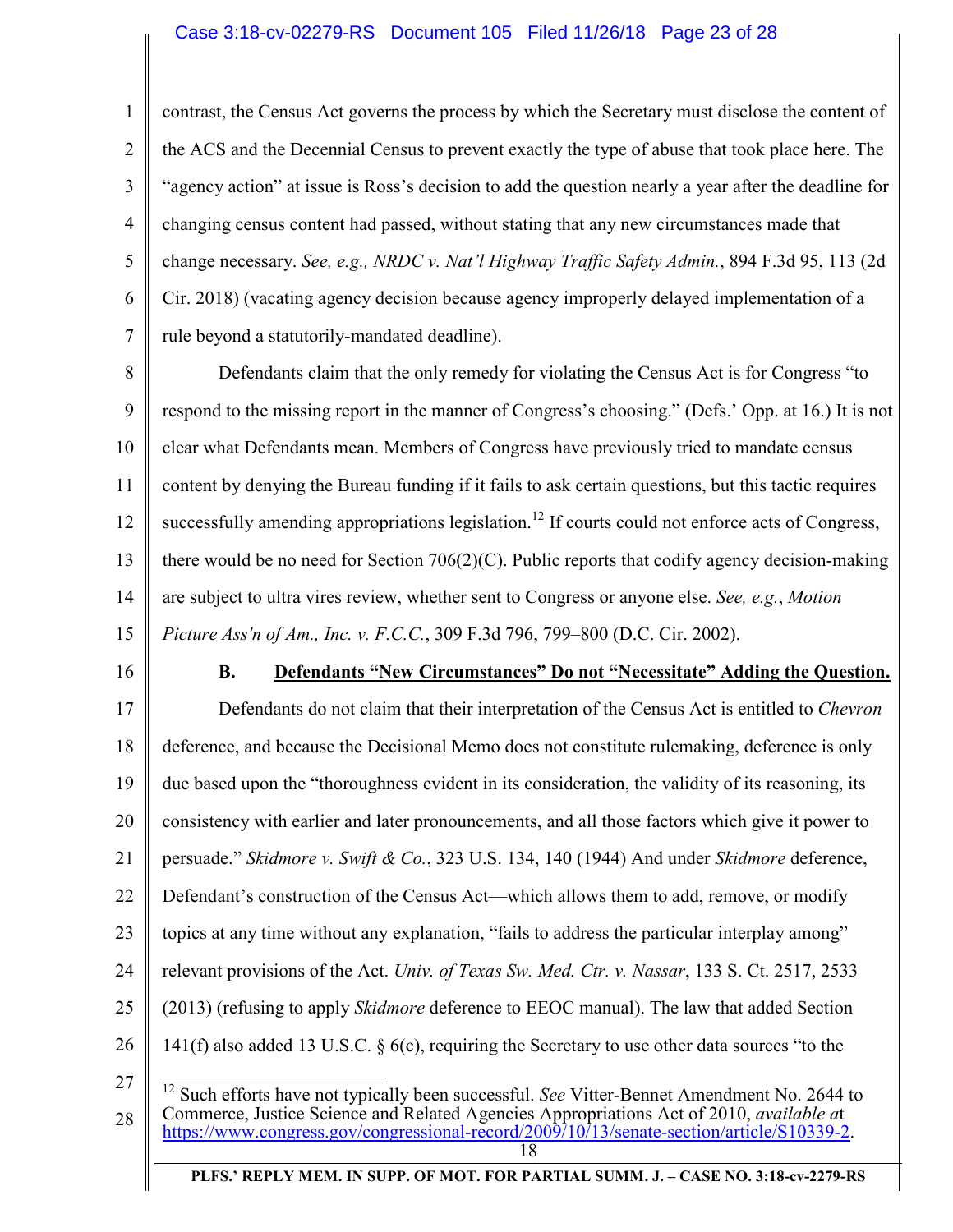### Case 3:18-cv-02279-RS Document 105 Filed 11/26/18 Page 23 of 28

1 2 3 4 5 6 7 contrast, the Census Act governs the process by which the Secretary must disclose the content of the ACS and the Decennial Census to prevent exactly the type of abuse that took place here. The "agency action" at issue is Ross's decision to add the question nearly a year after the deadline for changing census content had passed, without stating that any new circumstances made that change necessary. *See, e.g., NRDC v. Nat'l Highway Traffic Safety Admin.*, 894 F.3d 95, 113 (2d Cir. 2018) (vacating agency decision because agency improperly delayed implementation of a rule beyond a statutorily-mandated deadline).

8 9 10 11 12 13 14 15 Defendants claim that the only remedy for violating the Census Act is for Congress "to respond to the missing report in the manner of Congress's choosing." (Defs.' Opp. at 16.) It is not clear what Defendants mean. Members of Congress have previously tried to mandate census content by denying the Bureau funding if it fails to ask certain questions, but this tactic requires successfully amending appropriations legislation.<sup>12</sup> If courts could not enforce acts of Congress, there would be no need for Section  $706(2)(C)$ . Public reports that codify agency decision-making are subject to ultra vires review, whether sent to Congress or anyone else. *See, e.g.*, *Motion Picture Ass'n of Am., Inc. v. F.C.C.*, 309 F.3d 796, 799–800 (D.C. Cir. 2002).

16

### **B. Defendants "New Circumstances" Do not "Necessitate" Adding the Question.**

17 18 19 20 21 22 23 24 25 26 27 Defendants do not claim that their interpretation of the Census Act is entitled to *Chevron* deference, and because the Decisional Memo does not constitute rulemaking, deference is only due based upon the "thoroughness evident in its consideration, the validity of its reasoning, its consistency with earlier and later pronouncements, and all those factors which give it power to persuade." *Skidmore v. Swift & Co.*, 323 U.S. 134, 140 (1944) And under *Skidmore* deference, Defendant's construction of the Census Act—which allows them to add, remove, or modify topics at any time without any explanation, "fails to address the particular interplay among" relevant provisions of the Act. *Univ. of Texas Sw. Med. Ctr. v. Nassar*, 133 S. Ct. 2517, 2533 (2013) (refusing to apply *Skidmore* deference to EEOC manual). The law that added Section 141(f) also added 13 U.S.C. § 6(c), requiring the Secretary to use other data sources "to the  $\overline{a}$ 

<sup>28</sup>  18 <sup>12</sup> Such efforts have not typically been successful. *See* Vitter-Bennet Amendment No. 2644 to Commerce, Justice Science and Related Agencies Appropriations Act of 2010, *available a*t https://www.congress.gov/congressional-record/2009/10/13/senate-section/article/S10339-2.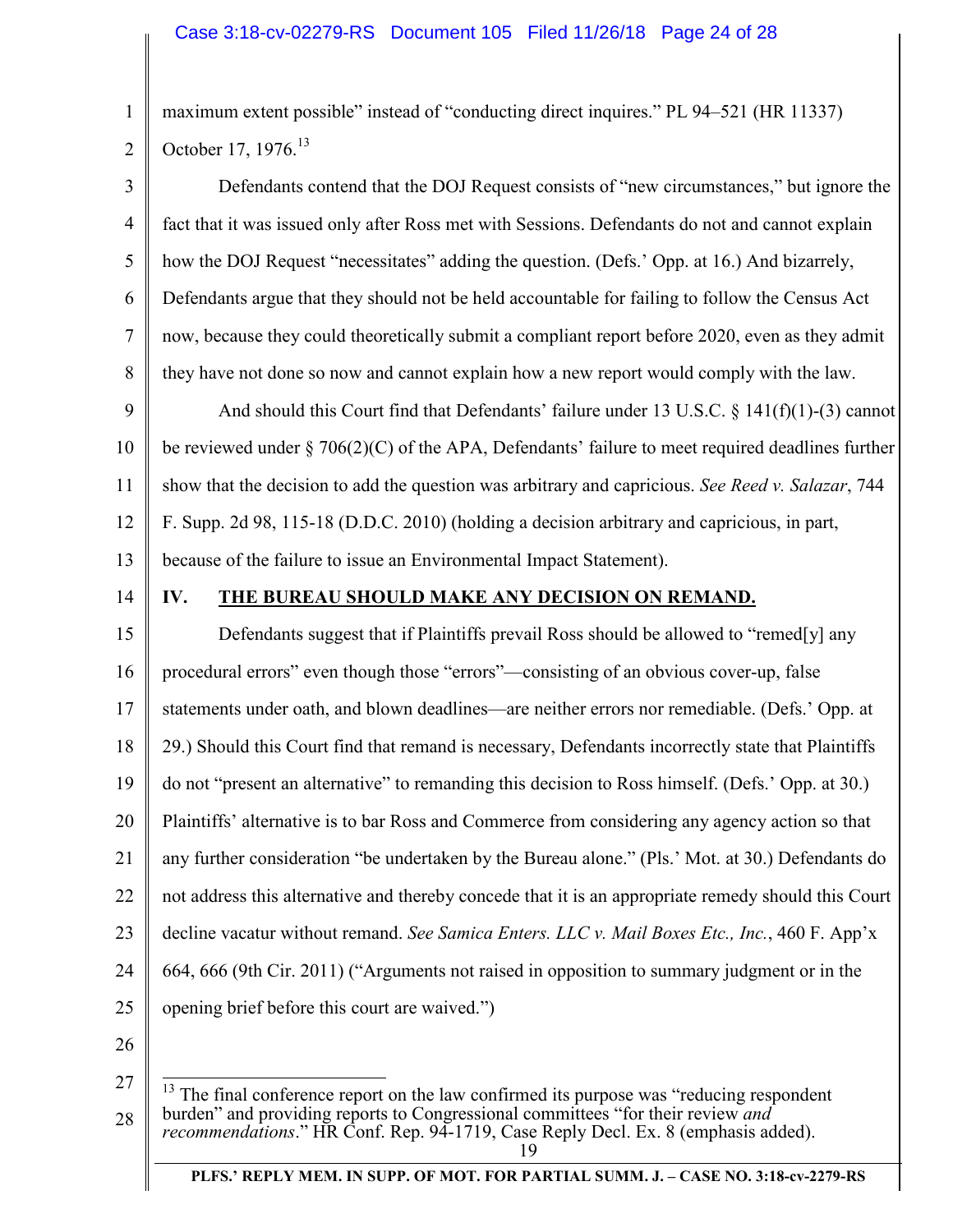maximum extent possible" instead of "conducting direct inquires." PL 94–521 (HR 11337) October 17, 1976.<sup>13</sup>

3 4 5 6 7 8 9 10 11 12 13 14 Defendants contend that the DOJ Request consists of "new circumstances," but ignore the fact that it was issued only after Ross met with Sessions. Defendants do not and cannot explain how the DOJ Request "necessitates" adding the question. (Defs.' Opp. at 16.) And bizarrely, Defendants argue that they should not be held accountable for failing to follow the Census Act now, because they could theoretically submit a compliant report before 2020, even as they admit they have not done so now and cannot explain how a new report would comply with the law. And should this Court find that Defendants' failure under 13 U.S.C. § 141(f)(1)-(3) cannot be reviewed under  $\S 706(2)(C)$  of the APA, Defendants' failure to meet required deadlines further show that the decision to add the question was arbitrary and capricious. *See Reed v. Salazar*, 744 F. Supp. 2d 98, 115-18 (D.D.C. 2010) (holding a decision arbitrary and capricious, in part, because of the failure to issue an Environmental Impact Statement). **IV. THE BUREAU SHOULD MAKE ANY DECISION ON REMAND.** 

15 16 17 18 19 20 21 22 23 24 25 Defendants suggest that if Plaintiffs prevail Ross should be allowed to "remed[y] any procedural errors" even though those "errors"—consisting of an obvious cover-up, false statements under oath, and blown deadlines—are neither errors nor remediable. (Defs.' Opp. at 29.) Should this Court find that remand is necessary, Defendants incorrectly state that Plaintiffs do not "present an alternative" to remanding this decision to Ross himself. (Defs.' Opp. at 30.) Plaintiffs' alternative is to bar Ross and Commerce from considering any agency action so that any further consideration "be undertaken by the Bureau alone." (Pls.' Mot. at 30.) Defendants do not address this alternative and thereby concede that it is an appropriate remedy should this Court decline vacatur without remand. *See Samica Enters. LLC v. Mail Boxes Etc., Inc.*, 460 F. App'x 664, 666 (9th Cir. 2011) ("Arguments not raised in opposition to summary judgment or in the opening brief before this court are waived.")

26

1

<sup>27</sup>  28  $\overline{a}$ The final conference report on the law confirmed its purpose was "reducing respondent" burden" and providing reports to Congressional committees "for their review *and recommendations*." HR Conf. Rep. 94-1719, Case Reply Decl. Ex. 8 (emphasis added).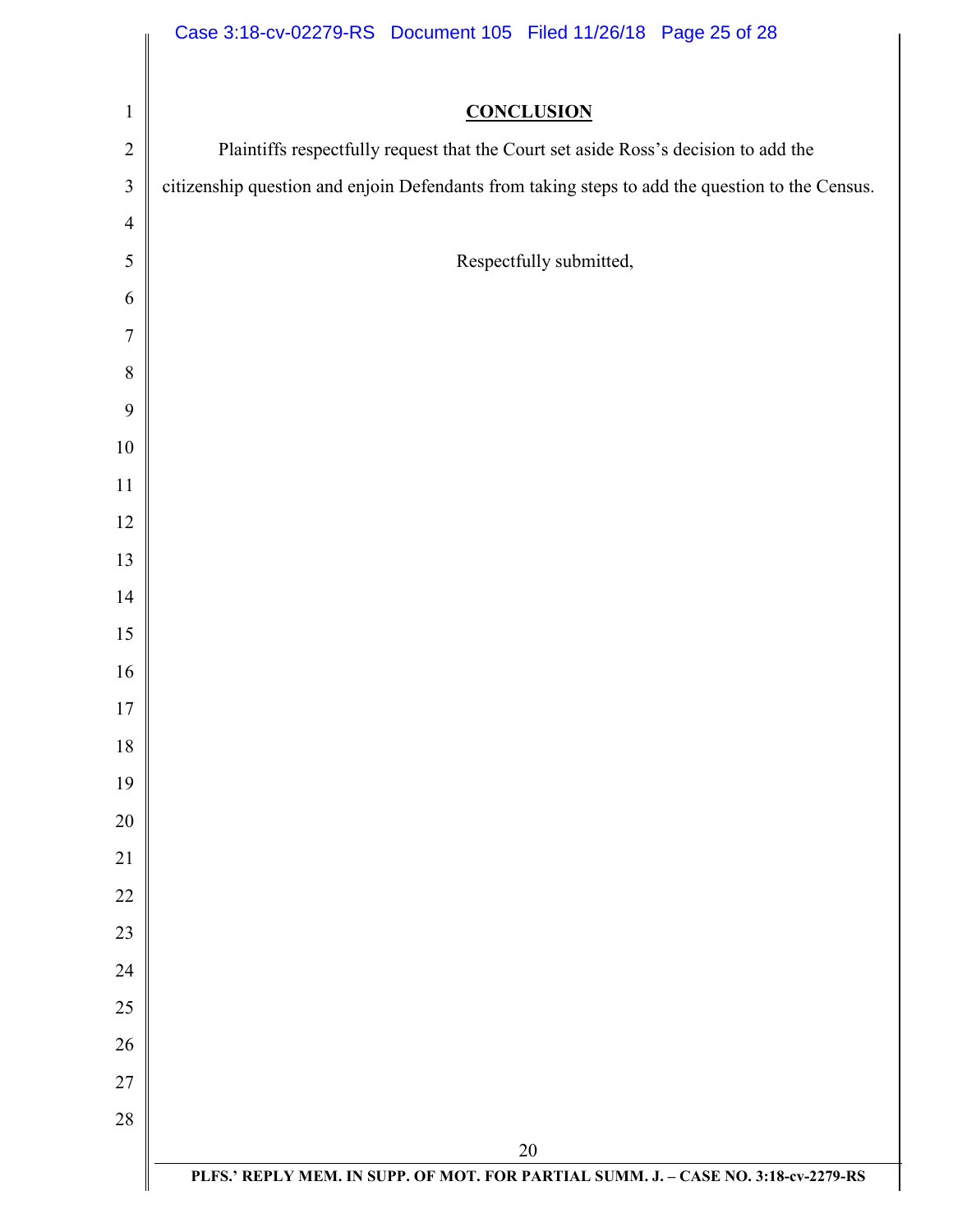|                         | Case 3:18-cv-02279-RS Document 105 Filed 11/26/18 Page 25 of 28                                 |
|-------------------------|-------------------------------------------------------------------------------------------------|
|                         |                                                                                                 |
| $\mathbf{1}$            | <b>CONCLUSION</b>                                                                               |
| $\sqrt{2}$              | Plaintiffs respectfully request that the Court set aside Ross's decision to add the             |
| $\overline{\mathbf{3}}$ | citizenship question and enjoin Defendants from taking steps to add the question to the Census. |
| $\overline{4}$          |                                                                                                 |
| 5                       | Respectfully submitted,                                                                         |
| 6                       |                                                                                                 |
| $\tau$                  |                                                                                                 |
| $8\,$                   |                                                                                                 |
| 9                       |                                                                                                 |
| $10\,$                  |                                                                                                 |
| 11                      |                                                                                                 |
| 12                      |                                                                                                 |
| 13                      |                                                                                                 |
| 14                      |                                                                                                 |
| 15                      |                                                                                                 |
| 16                      |                                                                                                 |
| 17                      |                                                                                                 |
| 18                      |                                                                                                 |
| 19<br>20                |                                                                                                 |
| 21                      |                                                                                                 |
| 22                      |                                                                                                 |
| 23                      |                                                                                                 |
| 24                      |                                                                                                 |
| 25                      |                                                                                                 |
| 26                      |                                                                                                 |
| 27                      |                                                                                                 |
| $28\,$                  |                                                                                                 |
|                         | $20\,$                                                                                          |
|                         | PLFS.' REPLY MEM. IN SUPP. OF MOT. FOR PARTIAL SUMM. J. - CASE NO. 3:18-cv-2279-RS              |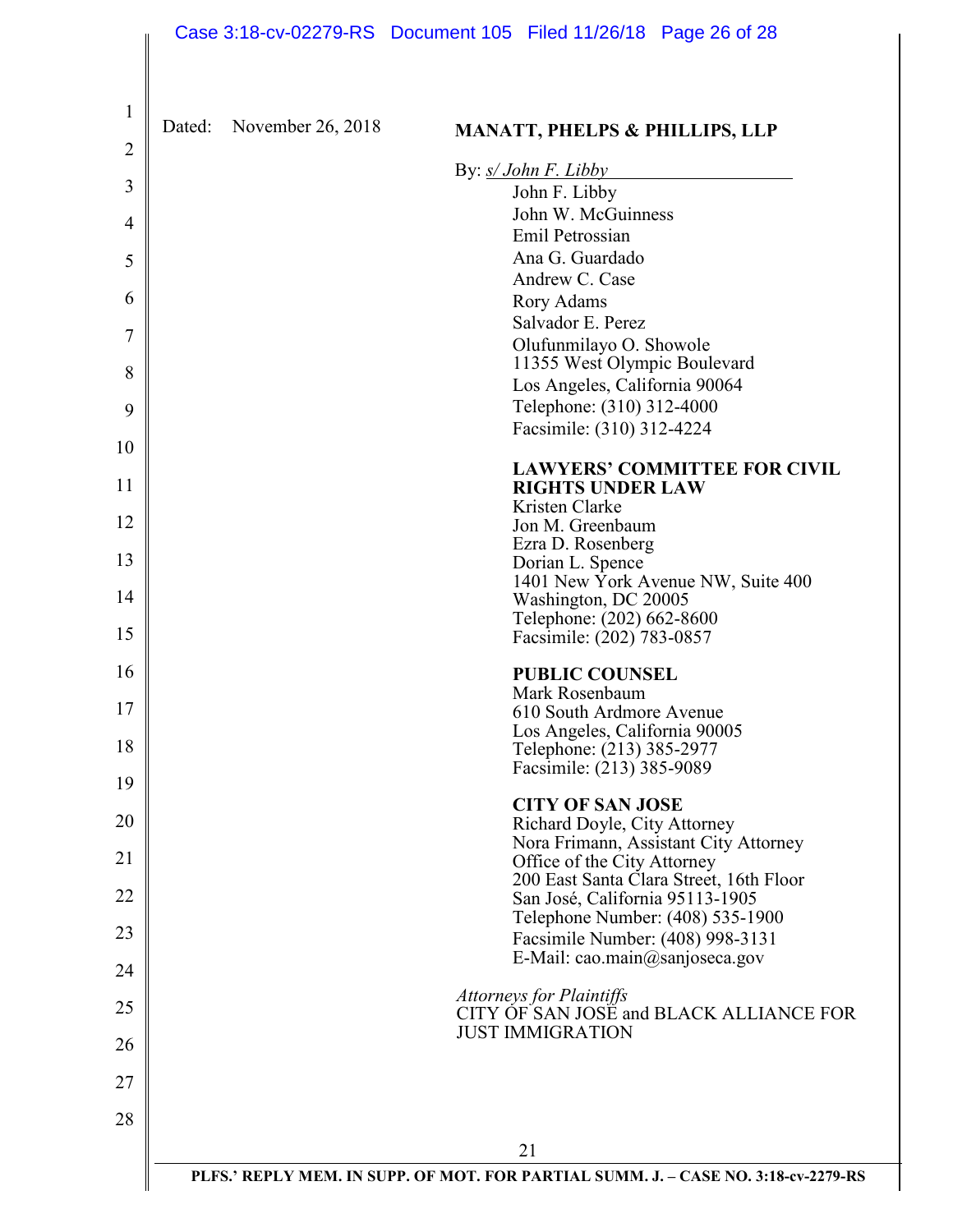|                                |        |                   | Case 3:18-cv-02279-RS Document 105 Filed 11/26/18 Page 26 of 28                    |
|--------------------------------|--------|-------------------|------------------------------------------------------------------------------------|
| $\mathbf{1}$<br>$\overline{c}$ | Dated: | November 26, 2018 | <b>MANATT, PHELPS &amp; PHILLIPS, LLP</b>                                          |
|                                |        |                   | By: $s/John F. Libby$                                                              |
| 3                              |        |                   | John F. Libby<br>John W. McGuinness                                                |
| 4                              |        |                   | Emil Petrossian                                                                    |
| 5                              |        |                   | Ana G. Guardado                                                                    |
| 6                              |        |                   | Andrew C. Case<br>Rory Adams                                                       |
|                                |        |                   | Salvador E. Perez                                                                  |
| $\overline{7}$                 |        |                   | Olufunmilayo O. Showole                                                            |
| 8                              |        |                   | 11355 West Olympic Boulevard<br>Los Angeles, California 90064                      |
| 9                              |        |                   | Telephone: (310) 312-4000                                                          |
| 10                             |        |                   | Facsimile: (310) 312-4224                                                          |
| 11                             |        |                   | <b>LAWYERS' COMMITTEE FOR CIVIL</b><br><b>RIGHTS UNDER LAW</b>                     |
| 12                             |        |                   | Kristen Clarke<br>Jon M. Greenbaum                                                 |
| 13                             |        |                   | Ezra D. Rosenberg                                                                  |
|                                |        |                   | Dorian L. Spence<br>1401 New York Avenue NW, Suite 400                             |
| 14                             |        |                   | Washington, DC 20005<br>Telephone: (202) 662-8600                                  |
| 15                             |        |                   | Facsimile: (202) 783-0857                                                          |
| 16                             |        |                   | <b>PUBLIC COUNSEL</b>                                                              |
| 17                             |        |                   | Mark Rosenbaum<br>610 South Ardmore Avenue                                         |
| 18                             |        |                   | Los Angeles, California 90005                                                      |
|                                |        |                   | Telephone: (213) 385-2977<br>Facsimile: (213) 385-9089                             |
| 19                             |        |                   | <b>CITY OF SAN JOSE</b>                                                            |
| 20                             |        |                   | Richard Doyle, City Attorney                                                       |
| 21                             |        |                   | Nora Frimann, Assistant City Attorney<br>Office of the City Attorney               |
| 22                             |        |                   | 200 East Santa Clara Street, 16th Floor<br>San José, California 95113-1905         |
|                                |        |                   | Telephone Number: (408) 535-1900                                                   |
| 23                             |        |                   | Facsimile Number: (408) 998-3131<br>E-Mail: cao.main@sanjoseca.gov                 |
| 24                             |        |                   | <b>Attorneys for Plaintiffs</b>                                                    |
| 25<br>26                       |        |                   | CITY OF SAN JOSE and BLACK ALLIANCE FOR<br><b>JUST IMMIGRATION</b>                 |
| 27                             |        |                   |                                                                                    |
| 28                             |        |                   |                                                                                    |
|                                |        |                   | 21                                                                                 |
|                                |        |                   | PLFS.' REPLY MEM. IN SUPP. OF MOT. FOR PARTIAL SUMM. J. - CASE NO. 3:18-cv-2279-RS |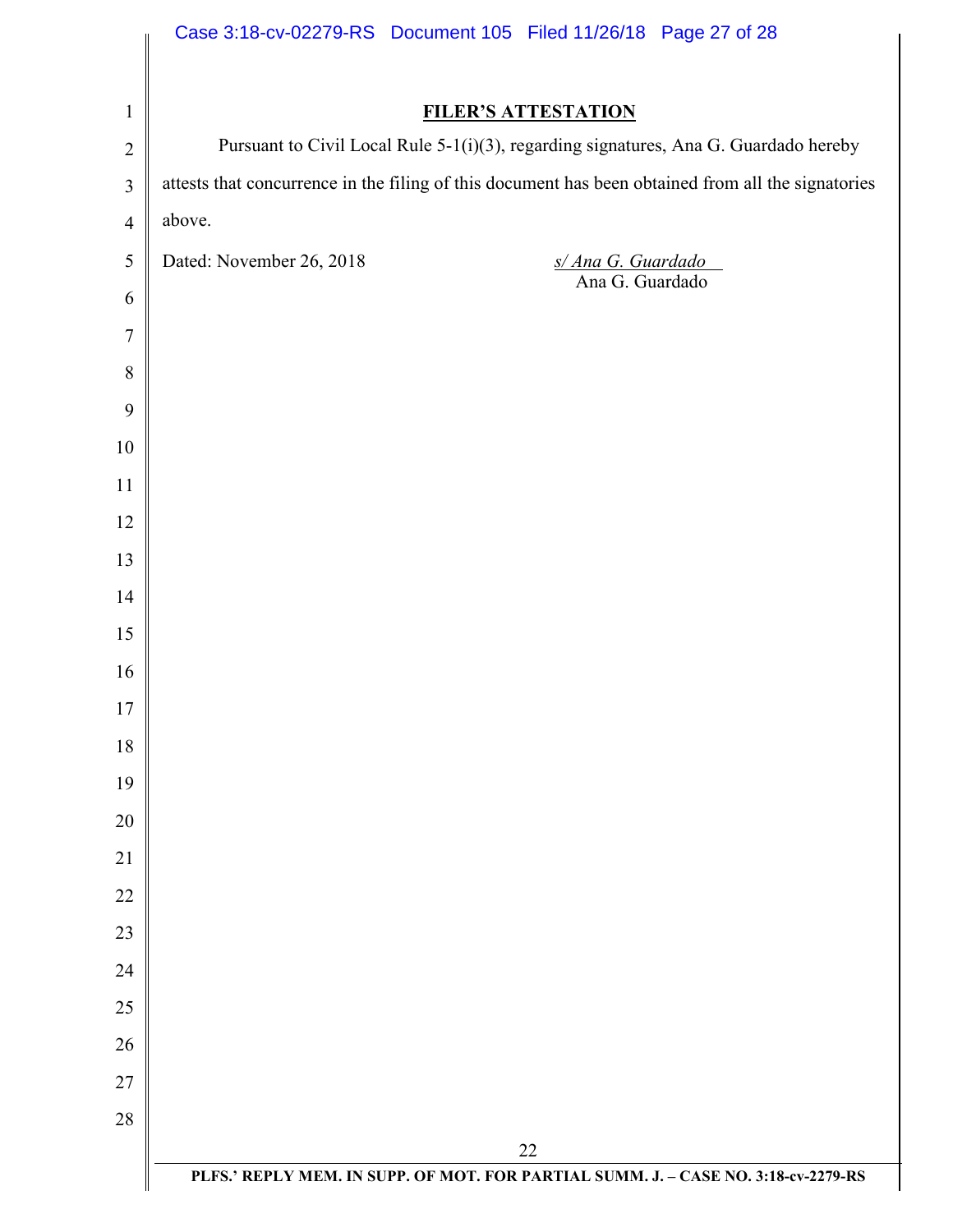|                | Case 3:18-cv-02279-RS Document 105 Filed 11/26/18 Page 27 of 28                                    |
|----------------|----------------------------------------------------------------------------------------------------|
|                |                                                                                                    |
| $\mathbf{1}$   | <b>FILER'S ATTESTATION</b>                                                                         |
| $\overline{2}$ | Pursuant to Civil Local Rule 5-1(i)(3), regarding signatures, Ana G. Guardado hereby               |
| $\mathfrak{Z}$ | attests that concurrence in the filing of this document has been obtained from all the signatories |
| $\overline{4}$ | above.                                                                                             |
| 5              | Dated: November 26, 2018<br>$\frac{s/Ana G. Guardado}{Ana G. Guardado}$                            |
| 6              |                                                                                                    |
| $\tau$         |                                                                                                    |
| 8              |                                                                                                    |
| 9              |                                                                                                    |
| 10             |                                                                                                    |
| 11             |                                                                                                    |
| 12             |                                                                                                    |
| 13             |                                                                                                    |
| 14             |                                                                                                    |
| 15             |                                                                                                    |
| 16             |                                                                                                    |
| 17             |                                                                                                    |
| 18             |                                                                                                    |
| 19             |                                                                                                    |
| 20             |                                                                                                    |
| 21             |                                                                                                    |
| 22             |                                                                                                    |
| 23             |                                                                                                    |
| 24             |                                                                                                    |
| 25             |                                                                                                    |
| 26             |                                                                                                    |
| 27             |                                                                                                    |
| 28             |                                                                                                    |
|                | 22                                                                                                 |
|                | PLFS.' REPLY MEM. IN SUPP. OF MOT. FOR PARTIAL SUMM. J. - CASE NO. 3:18-cv-2279-RS                 |